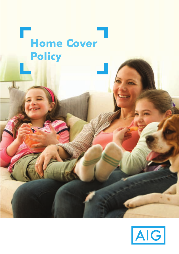# **Home Cover Policy**L.

г

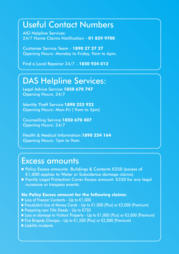# Useful Contact Numbers

AIG Helpline Services: 24/7 Home Claims Notification - **01 859 9700**

Customer Service Team - **1890 27 27 27** Opening Hours: Monday to Friday, 9am to 6pm.

Find a Local Repairer 24/7 - **1850 924 012**

# DAS Helpline Services:

Legal Advice Service:**1850 670 747** Opening Hours: 24/7

Identity Theft Service:**1890 252 922** Opening Hours: Mon-Fri ( 9am to 5pm)

Counselling Service:**1850 670 407** Opening Hours: 24/7

Health & Medical Information:**1890 254 164** Opening Hours: 7pm to 9am

# Excess amounts

- Policy Excess amounts: Buildings & Contents €250 (excess of €1,000 applies to Water or Subsidence damage claims).
- Family Legal Protection Cover Excess amount: €350 for any legal nuisance or trespass events.

#### **No Policy Excess amount for the following claims:**

- Loss of Freezer Contents Up to €1,000
- Fraudulent Use of Money Cards Up to €1,000 (Plus) or €3,000 (Premium)
- Preparing new Title Deeds Up to  $E$ 750
- Loss or damage to Visitors' Property Up to €1,000 (Plus) or €3,000 (Premium)
- Fire Brigade Charges Up to €1,500 (Plus) or €2,000 (Premium)
- Liability incidents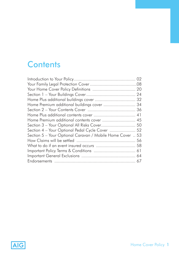# **Contents**

| Home Premium additional buildings cover  34               |  |
|-----------------------------------------------------------|--|
|                                                           |  |
|                                                           |  |
| Home Premium additional contents cover  45                |  |
|                                                           |  |
| Section 4 - Your Optional Pedal Cycle Cover  52           |  |
| Section 5 - Your Optional Caravan / Mobile Home Cover  53 |  |
|                                                           |  |
|                                                           |  |
|                                                           |  |
|                                                           |  |
|                                                           |  |
|                                                           |  |

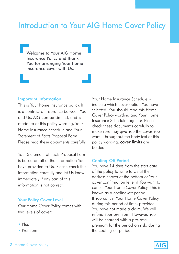# Introduction to Your AIG Home Cover Policy

Welcome to Your AIG Home Insurance Policy and thank You for arranging Your home insurance cover with Us.

#### Important Information

This is Your home insurance policy. It is a contract of insurance between You and Us, AIG Europe Limited, and is made up of this policy wording, Your Home Insurance Schedule and Your Statement of Facts Proposal Form. Please read these documents carefully.

Your Statement of Facts Proposal Form is based on all of the information You have provided to Us. Please check this information carefully and let Us know immediately if any part of this information is not correct.

#### Your Policy Cover Level

Our Home Cover Policy comes with two levels of cover:

• Plus

• Premium

Your Home Insurance Schedule will indicate which cover option You have selected. You should read this Home Cover Policy wording and Your Home Insurance Schedule together. Please check these documents carefully to make sure they give You the cover You want. Throughout the body text of this policy wording, cover limits are bolded.

#### Cooling-Off Period

You have 14 days from the start date of the policy to write to Us at the address shown at the bottom of Your cover confirmation letter if You want to cancel Your Home Cover Policy. This is known as a cooling-off period. If You cancel Your Home Cover Policy during this period of time, provided You have not made a claim, We will refund Your premium. However, You will be charged with a pro-rata premium for the period on risk, during the cooling-off period.

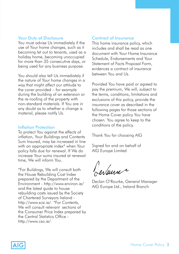#### Your Duty of Disclosure

You must advise Us immediately if the use of Your home changes, such as it becoming let out to tenants, used as a holiday home, becoming unoccupied for more than 35 consecutive days, or being used for any business purpose.

You should also tell Us immediately if the nature of Your home changes in a way that might affect our attitude to the cover provided – for example during the building of an extension or the re-roofing of the property with non-standard materials. If You are in any doubt as to whether a change is material, please notify Us.

#### Inflation Protection

To protect You against the effects of inflation, Your Buildings and Contents Sum Insured, may be increased in line with an appropriate index\* when Your policy falls due for renewal. If We do increase Your sums insured at renewal time, We will inform You.

\*For Buildings, We will consult both the House Rebuilding Cost Index prepared by the Department of the Environment - http://www.environ.ie/ and the latest guide to house rebuilding costs issued by the Society of Chartered Surveyors Ireland http://www.scsi.ie/. \*For Contents, We will consult relevant sections of the Consumer Price Index prepared by the Central Statistics Office http://www.cso.ie/.

#### Contract of Insurance

This home insurance policy, which includes and shall be read as one document with Your Home Insurance Schedule, Endorsements and Your Statement of Facts Proposal Form, evidences a contract of insurance between You and Us.

Provided You have paid or agreed to pay the premium, We will, subject to the terms, conditions, limitations and exclusions of this policy, provide the insurance cover as described in the following pages for those sections of the Home Cover policy You have chosen. You agree to keep to the conditions of the policy.

Thank You for choosing AIG

Signed for and on behalf of AIG Europe Limited

Derburn

Declan O'Rourke, General Manager AIG Europe Ltd., Ireland Branch

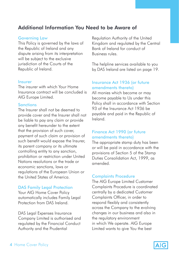# **Additional Information You Need to be Aware of**

#### Governing Law

This Policy is governed by the laws of the Republic of Ireland and any dispute arising from its interpretation will be subject to the exclusive jurisdiction of the Courts of the Republic of Ireland.

#### Insurer

The insurer with which Your Home Insurance contract will be concluded is AIG Europe Limited.

#### **Sanctions**

The Insurer shall not be deemed to provide cover and the Insurer shall not be liable to pay any claim or provide any benefit hereunder to the extent that the provision of such cover, payment of such claim or provision of such benefit would expose the Insurer, its parent company or its ultimate controlling entity to any sanction, prohibition or restriction under United Nations resolutions or the trade or economic sanctions, laws or regulations of the European Union or the United States of America.

#### DAS Family Legal Protection

Your AIG Home Cover Policy automatically includes Family Legal Protection from DAS Ireland.

DAS Legal Expenses Insurance Company Limited is authorised and regulated by the Financial Conduct Authority and the Prudential

Regulation Authority of the United Kingdom and regulated by the Central Bank of Ireland for conduct of Business rules.

The helpline services available to you by DAS Ireland are listed on page 19.

#### Insurance Act 1936 (or future amendments thereto)

All monies which become or may become payable to Us under this Policy shall in accordance with Section 93 of the Insurance Act 1936 be payable and paid in the Republic of Ireland.

#### Finance Act 1990 (or future amendments thereto)

The appropriate stamp duty has been or will be paid in accordance with the provisions of Section 5 of the Stamp Duties Consolidation Act, 1999, as amended.

#### Complaints Procedure

The AIG Europe Limited Customer Complaints Procedure is coordinated centrally by a dedicated Customer Complaints Officer, in order to respond flexibly and consistently across the Company to the evolving changes in our business and also in the regulatory environment in which We operate. AIG Europe Limited wants to give You the best

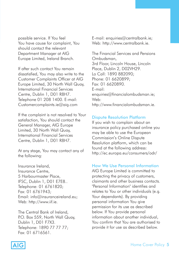possible service. If You feel You have cause for complaint, You should contact the relevant Department Manager at AIG Europe Limited, Ireland Branch.

If after such contact You remain dissatisfied, You may also write to the Customer Complaints Officer at AIG Europe Limited, 30 North Wall Quay, International Financial Services Centre, Dublin 1, D01 R8H7. Telephone 01 208 1400. E-mail: Customercomplaints.ie@aig.com

If the complaint is not resolved to Your satisfaction, You should contact the General Manager, AIG Europe Limited, 30 North Wall Quay, International Financial Services Centre, Dublin 1, D01 R8H7.

At any stage, You may contact any of the following:

Insurance Ireland, Insurance Centre, 5 Harbourmaster Place, IFSC, Dublin 1, D01 E7E8.. Telephone: 01 6761820; Fax: 01 6761943; Email: info@insuranceireland.eu; Web: http://www.iif.ie.

The Central Bank of Ireland, P.O. Box 559, North Wall Quay, Dublin 1, D01 F7X3. Telephone: 1890 77 77 77; Fax: 01 6716561.

E-mail: enquiries@centralbank.ie; Web: http://www.centralbank.ie.

The Financial Services and Pensions Ombudsman, 3rd Floor, Lincoln House, Lincoln Place, Dublin 2, D02VH29. Lo Call: 1890 882090; Phone: 01 6620899; Fax: 01 6620890. E-mail: enquiries@financialombudsman.ie; Web: http://www.financialombudsman.ie.

#### Dispute Resolution Platform

If you wish to complain about an insurance policy purchased online you may be able to use the European Commission's Online Dispute Resolution platform, which can be found at the following address: http://ec.europa.eu/consumers/odr/

#### How We Use Personal Information

AIG Europe Limited is committed to protecting the privacy of customers, claimants and other business contacts. "Personal Information" identifies and relates to You or other individuals (e.g. Your dependants). By providing personal information You give permission for its use as described below. If You provide personal information about another individual, You confirm that You are authorised to provide it for use as described below.

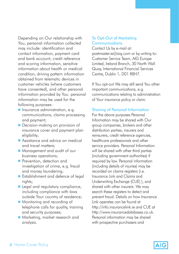Depending on Our relationship with You, personal information collected may include: identification and contact information, payment card and bank account, credit reference and scoring information, sensitive information about health or medical condition, driving pattern information obtained from telematic devices in customer vehicles (where customers have consented), and other personal information provided by You. personal information may be used for the following purposes:

- **n** Insurance administration, e.g. communications, claims processing and payment;
- Decision-making on provision of insurance cover and payment plan eligibility;
- **n** Assistance and advice on medical and travel matters;
- Management and audit of our business operations;
- **Prevention, detection and** investigation of crime, e.g. fraud and money laundering;
- **Establishment and defence of legal** rights;
- **n** Legal and regulatory compliance, including compliance with laws outside Your country of residence;
- Monitoring and recording of telephone calls for quality, training and security purposes;
- Marketing, market research and analysis.

#### To Opt-Out of Marketing **Communications**

Contact Us by e-mail at: postmaster.ie@aig.com or by writing to: Customer Service Team, AIG Europe Limited, Ireland Branch, 30 North Wall Quay, International Financial Services Centre, Dublin 1, D01 R8H7.

If You opt-out We may still send You other important communications, e.g. communications relating to administration of Your insurance policy or claim.

#### Sharing of Personal Information

For the above purposes Personal Information may be shared with Our group companies, brokers and other distribution parties, insurers and reinsurers, credit reference agencies, healthcare professionals and other service providers. Personal Information will be shared with other third parties (including government authorities) if required by law. Personal information (including details of injuries) may be recorded on claims registers (i.e. Insurance Link and Claims and Underwriting Exchange (CUE) ), and shared with other insurers. We may search these registers to detect and prevent fraud. Details on how Insurance Link operates can be found at http://info.insurancelink.ie and CUE at http://www.insurancedatabases.co.uk. Personal information may be shared with prospective purchasers and

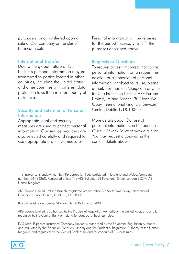purchasers, and transferred upon a sale of Our company or transfer of business assets.

#### International Transfer

Due to the global nature of Our business personal information may be transferred to parties located in other countries, including the United States and other countries with different data protection laws than in Your country of residence.

#### Security and Retention of Personal **Information**

Appropriate legal and security measures are used to protect personal information. Our service providers are also selected carefully and required to use appropriate protective measures.

Personal information will be retained for the period necessary to fulfil the purposes described above.

#### Requests or Questions

To request access or correct inaccurate personal information, or to request the deletion or suppression of personal information, or object to its use, please e-mail: postmaster.ie@aig.com or write to Data Protection Officer, AIG Europe Limited, Ireland Branch, 30 North Wall Quay, International Financial Services Centre, Dublin 1, D01 R8H7.

More details about Our use of personal information can be found in Our full Privacy Policy at www.aig.ie or You may request a copy using the contact details above.

This insurance is underwritten by AIG Europe Limited. Registered in England and Wales. Company number: 01486260. Registered office: The AIG Building, 58 Fenchurch Street, London EC3M4AB, United Kingdom.

AIG Europe Limited, Ireland Branch, registered branch office 30 North Wall Quay, International Financial Services Centre, Dublin 1, D01 R8H7.

Branch registration number 906664. Tel:+353 1 208 1400.

AIG Europe Limited is authorised by the Prudential Regulation Authority of the United Kingdom, and is regulated by the Central Bank of Ireland for conduct of business rules.

DAS Legal Expenses Insurance Company Limited is authorised by the Prudential Regulation Authority and regulated by the Financial Conduct Authority and the Prudential Regulation Authority of the United Kingdom and regulated by the Central Bank of Ireland for conduct of Business rules.

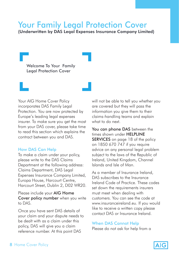# Your Family Legal Protection Cover **(Underwritten by DAS Legal Expenses Insurance Company Limited)**

Welcome To Your Family Legal Protection Cover

Your AIG Home Cover Policy incorporates DAS Family Legal Protection. You are now protected by Europe's leading legal expenses insurer. To make sure you get the most from your DAS cover, please take time to read this section which explains the contract between you and DAS.

#### How DAS Can Help

To make a claim under your policy, please write to the DAS Claims Department at the following address: Claims Department, DAS Legal Expenses Insurance Company Limited, Europa House, Harcourt Centre, Harcourt Street, Dublin 2, D02 WR20.

Please include your AIG Home Cover policy number when you write to DAS.

Once you have sent DAS details of your claim and your dispute needs to be dealt with as a claim under this policy, DAS will give you a claim reference number. At this point DAS

will not be able to tell you whether you are covered but they will pass the information you give them to their claims-handling teams and explain what to do next.

You can phone DAS between the times shown under **HELPLINE** SERVICES on page 18 of the policy on 1850 670 747 if you require advice on any personal legal problem subject to the laws of the Republic of Ireland, United Kingdom, Channel Islands and Isle of Man.

As a member of Insurance Ireland, DAS subscribes to the Insurance Ireland Code of Practice. These codes set down the requirements insurers must meet when dealing with customers. You can see the code at www.insuranceireland.eu. If you would like to receive a written copy please contact DAS or Insurance Ireland.

#### When DAS Cannot Help

Please do not ask for help from a

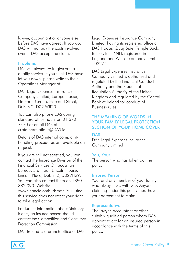lawyer, accountant or anyone else before DAS have agreed. If you do, DAS will not pay the costs involved even if DAS accept the claim.

#### Problems

DAS will always try to give you a quality service. If you think DAS have let you down, please write to their Operations Manager at:

DAS Legal Expenses Insurance Company Limited, Europa House, Harcourt Centre, Harcourt Street, Dublin 2, D02 WR20.

You can also phone DAS during standard office hours on 01 670 7470 or email DAS at customerrelations@DAS.ie

Details of DAS internal complainthandling procedures are available on request.

If you are still not satisfied, you can contact the Insurance Division of the Financial Services Ombudsman Bureau, 3rd Floor, Lincoln House, Lincoln Place, Dublin 2, D02VH29. You can also contact them on 1890 882 090. Website:

www.financialombudsman.ie. (Using this service does not affect your right to take legal action.)

For further information about Statutory Rights, an insured person should contact the Competition and Consumer Protection Commission.

DAS Ireland is a branch office of DAS

Legal Expenses Insurance Company Limited, having its registered office at DAS House, Quay Side, Temple Back, Bristol, BS1 6NH, registered in England and Wales, company number 103274.

DAS Legal Expenses Insurance Company Limited is authorised and regulated by the Financial Conduct Authority and the Prudential Regulation Authority of the United Kingdom and regulated by the Central Bank of Ireland for conduct of Business rules.

#### THE MEANING OF WORDS IN YOUR FAMILY LEGAL PROTECTION SECTION OF YOUR HOME COVER

#### **DAS**

DAS Legal Expenses Insurance Company Limited

#### You, Your

The person who has taken out the policy

#### Insured Person

You, and any member of your family who always lives with you. Anyone claiming under this policy must have your agreement to claim.

#### **Representative**

The lawyer, accountant or other suitably qualified person whom DAS appoint to act for an insured person in accordance with the terms of this policy.

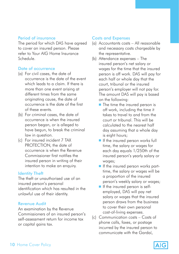#### Period of insurance

The period for which DAS have agreed to cover an insured person. Please refer to Your AIG Home Insurance Schedule.

#### Date of occurrence

- (a) For civil cases, the date of occurrence is the date of the event which leads to a claim. If there is more than one event arising at different times from the same originating cause, the date of occurrence is the date of the first of these events.
- (b) For criminal cases, the date of occurrence is when the insured person began, or is alleged to have begun, to break the criminal law in question.
- (c) For insured incident 7 TAX PROTECTION, the date of occurrence is when the Revenue Commissioner first notifies the insured person in writing of their intention to make an enquiry.

#### Identity Theft

The theft or unauthorised use of an insured person's personal identification which has resulted in the unlawful use of their identity.

#### Revenue Audit

An examination by the Revenue Commissioners of an insured person's self-assessment return for income tax or capital gains tax.

#### Costs and Expenses

- (a) Accountants costs All reasonable and necessary costs chargeable by the representative.
- (b) Attendance expenses The insured person's net salary or wages for the time that the insured person is off work. DAS will pay for each half or whole day that the court, tribunal or the insured person's employer will not pay for. The amount DAS will pay is based on the following:
	- $\blacksquare$  The time the insured person is off work, including the time it takes to travel to and from the court or tribunal. This will be calculated to the nearest half day assuming that a whole day is eight hours;
	- $\blacksquare$  If the insured person works full time, the salary or wages for each day equals 1/250th of the insured person's yearly salary or wages;
	- $\blacksquare$  If the insured person works parttime, the salary or wages will be a proportion of the insured person's weekly salary or wages;
	- $\blacksquare$  If the insured person is selfemployed, DAS will pay net salary or wages that the insured person draws from the business to cover their own personal cost-of-living expenses.
- (c) Communication costs Costs of phone calls, faxes, or postage incurred by the insured person to communicate with the Gardaí,

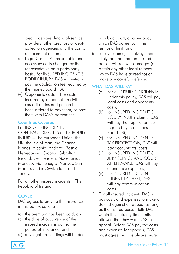credit agencies, financial-service providers, other creditors or debtcollection agencies and the cost of replacement documents.

- (d) Legal Costs All reasonable and necessary costs changed by the representative on a party/party basis. For INSURED INCIDENT 3 BODILY INJURY, DAS will initially pay the application fee required by the Injuries Board (IB).
- (e) Opponents costs The costs incurred by opponents in civil cases if an insured person has been ordered to pay them, or pays them with DAS's agreement.

#### Countries Covered

For INSURED INCIDENTS 1 CONTRACT DISPUTES and 3 BODILY INJURY – The European Union, the UK, the Isle of man, the Channel Islands, Albania, Andorra, Bosnia Herzegovina, Croatia, Gibraltar, Iceland, Liechtenstein, Macedonia, Monaco, Montenegro, Norway, San Marino, Serbia, Switzerland and Turkey.

For all other insured incidents – The Republic of Ireland.

### **COVER**

DAS agrees to provide the insurance in this policy, as long as:

- (a) the premium has been paid; and
- (b) the date of occurrence of the insured incident is during the period of insurance; and
- (c) any legal proceedings will be dealt

with by a court, or other body which DAS agree to, in the territorial limit; and

(d) for civil claims, it is always more likely than not that an insured person will recover damages (or obtain any other legal remedy which DAS have agreed to) or make a successful defence.

### WHAT DAS WILL PAY

- 1 (a) For all INSURED INCIDENTS under this policy, DAS will pay legal costs and opponents costs;
	- (b) for INSURED INCIDENT 3 BODILY INJURY claims, DAS will pay the application fee required by the Injuries Board (IB);
	- (c) for INSURED INCIDENT 7 TAX PROTECTION, DAS will pay accountants' costs;
	- (d) for INSURED INCIDENT 8 JURY SERVICE AND COURT ATTENDANCE, DAS will pay attendance expenses;
	- (e) for INSURED INCIDENT 2 IDENTITY THEFT, DAS will pay communication costs.
- 2 For all insured incidents DAS will pay costs and expenses to make or defend against an appeal as long as the insured person tells DAS within the statutory time limits allowed that they want DAS to appeal. Before DAS pay the costs and expenses for appeals, DAS must agree that it is always more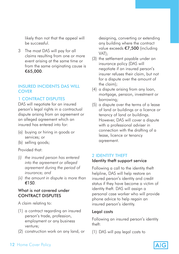likely than not that the appeal will be successful.

3 The most DAS will pay for all claims resulting from one or more event arising at the same time or from the same originating cause is €65,000.

#### INSURED INCIDENTS DAS WILL **COVER**

#### 1 CONTRACT DISPUTES

DAS will negotiate for an insured person's legal rights in a contractual dispute arising from an agreement or an alleged agreement which an insured has entered into for:

- (a) buying or hiring in goods or services; or
- (b) selling goods;

Provided that:

- *(i) the insured person has entered into the agreement or alleged agreement during the period of insurance; and*
- *(ii) the amount in dispute is more than €150.*

#### What is not covered under CONTRACT DISPUTES

A claim relating to:

- (1) a contract regarding an insured person's trade, profession, employment or any business venture;
- (2) construction work on any land, or

designing, converting or extending any building where the contract value exceeds €7,500 (including VAT);

- (3) the settlement payable under an insurance policy (DAS will negotiate if an insured person's insurer refuses their claim, but not for a dispute over the amount of the claim);
- (4) a dispute arising from any loan, mortgage, pension, investment or borrowing;
- (5) a dispute over the terms of a lease of land or buildings or a licence or tenancy of land or buildings. However, DAS will cover a dispute with a professional adviser in connection with the drafting of a lease, licence or tenancy agreement.

#### 2 IDENTITY THEFT Identity theft support service

Following a call to the identity theft helpline, DAS will help restore an insured person's identity and credit status if they have become a victim of identity theft. DAS will assign a personal case worker who will provide phone advice to help regain an insured person's identity.

#### Legal costs

Following an insured person's identity theft:

(1) DAS will pay legal costs to

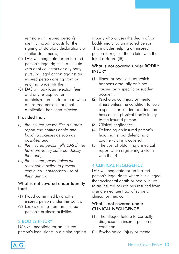reinstate an insured person's identity including costs for the signing of statutory declarations or similar documents;

- (2) DAS will negotiate for an insured person's legal rights in a dispute with debt collectors or any party pursuing legal action against an insured person arising from or relating to identity theft;
- (3) DAS will pay loan rejection fees and any re-application administration fee for a loan when an insured person's original application has been rejected.

#### Provided that;

- *(i) the insured person files a Garda report and notifies banks and building societies as soon as possible; and*
- *(ii) the insured person tells DAS if they have previously suffered identity theft and;*
- *(iii) the insured person takes all reasonable action to prevent continued unauthorised use of their identity.*

#### What is not covered under Identity theft

- (1) Fraud committed by another insured person under this policy.
- (2) Losses arising from an insured person's business activities.

#### 3 BODILY INJURY

DAS will negotiate for an insured person's legal rights in a claim against a party who causes the death of, or bodily injury to, an insured person. This includes helping an insured person to register their claim with the Injuries Board (IB).

#### What is not covered under BODILY **INJURY**

- (1) Illness or bodily injury, which happens gradually or is not caused by a specific or sudden accident.
- (2) Psychological injury or mental illness unless the condition follows a specific or sudden accident that has caused physical bodily injury to the insured person.
- (3) Clinical negligence.
- (4) Defending an insured person's legal rights, but defending a counter-claim is covered.
- (5) The cost of obtaining a medical report when registering a claim with the IB.

#### 4 CLINICAL NEGLIGENCE

DAS will negotiate for an insured person's legal rights where it is alleged that accidental death or bodily injury to an insured person has resulted from a single negligent act of surgery, clinical or medical.

#### What is not covered under CLINICAL NEGLIGENCE

- (1) The alleged failure to correctly diagnose the insured person's condition.
- (2) Psychological injury or mental

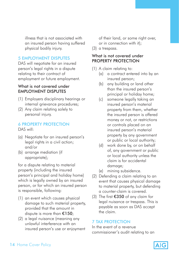illness that is not associated with an insured person having suffered physical bodily injury.

#### 5 EMPLOYMENT DISPUTES

DAS will negotiate for an insured person's legal rights in a dispute relating to their contract of employment or future employment.

#### What is not covered under EMPLOYMENT DISPUTES

- (1) Employers disciplinary hearings or internal grievance procedures;
- (2) Any claim relating solely to personal injury.

#### 6 PROPERTY PROTECTION DAS will:

- (a) Negotiate for an insured person's legal rights in a civil action; and/or
- (b) arrange mediation (if appropriate);

for a dispute relating to material property (including the insured person's principal and holiday home) which is legally owned by an insured person, or for which an insured person is responsible, following:

- (1) an event which causes physical damage to such material property, provided that the amount in dispute is more than €150;
- (2) a legal nuisance (meaning any unlawful interference with an insured person's use or enjoyment

of their land, or some right over, or in connection with it);

(3) a trespass.

#### What is not covered under PROPERTY PROTECTION

- (1) A claim relating to:
	- (a) a contract entered into by an insured person;
	- (b) any building or land other than the insured person's principal or holiday home;
	- (c) someone legally taking an insured person's material property from them, whether the insured person is offered money or not, or restrictions or controls placed on an insured person's material property by any government or public or local authority;
	- (d) work done by, or on behalf of, any government or public or local authority unless the claim is for accidental damage;
	- (e) mining subsidence.
- (2) Defending a claim relating to an event that causes physical damage to material property, but defending a counter-claim is covered.
- (3) The first  $\epsilon$ 350 of any claim for legal nuisance or trespass. This is payable as soon as DAS accept the claim.

#### 7 TAX PROTECTION

In the event of a revenue commissioner's audit relating to an

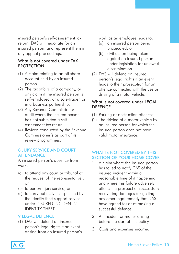insured person's self-assessment tax return, DAS will negotiate for an insured person, and represent them in any appeal proceedings.

#### What is not covered under TAX **PROTECTION**

- (1) A claim relating to an off shore account held by an insured person.
- (2) The tax affairs of a company, or any claim if the insured person is self-employed, or a sole-trader, or in a business partnership.
- (3) Any Revenue Commissioner's audit where the insured person has not submitted a selfassessment tax return.
- (4) Reviews conducted by the Revenue Commissioner's as part of its review programmes.

#### 8 JURY SERVICE AND COURT **ATTENDANCE**

An insured person's absence from work:

- (a) to attend any court or tribunal at the request of the representative ; or
- (b) to perform jury service; or
- (c) to carry out activities specified by the identity theft support service under INSURED INCIDENT 2 IDENTITY THEFT.

### 9 LEGAL DEFENCE

(1) DAS will defend an insured person's legal rights if an event arising from an insured person's work as an employee leads to:

- (a) an insured person being prosecuted; or
- (b) civil action being taken against an insured person under legislation for unlawful discrimination.
- (2) DAS will defend an insured person's legal rights if an event leads to their prosecution for an offence connected with the use or driving of a motor vehicle.

#### What is not covered under LEGAL **DEFENCE**

- (1) Parking or obstruction offences.
- (2) The driving of a motor vehicle by an insured person for which the insured person does not have valid motor insurance.

#### WHAT IS NOT COVERED BY THIS SECTION OF YOUR HOME COVER

- 1 A claim where the insured person has failed to notify DAS of the insured incident within a reasonable time of it happening and where this failure adversely affects the prospect of successfully recovering damages (or getting any other legal remedy that DAS have agreed to) or of making a successful defence.
- 2 An incident or matter arising before the start of this policy.
- 3 Costs and expenses incurred

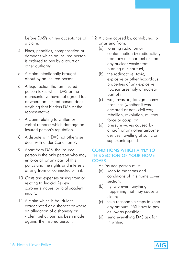before DAS's written acceptance of a claim.

- 4 Fines, penalties, compensation or damages which an insured person is ordered to pay by a court or other authority.
- 5 A claim intentionally brought about by an insured person.
- 6 A legal action that an insured person takes which DAS or the representative have not agreed to, or where an insured person does anything that hinders DAS or the representative.
- 7 A claim relating to written or verbal remarks which damage an insured person's reputation.
- 8 A dispute with DAS not otherwise dealt with under Condition 7.
- 9 Apart from DAS, the insured person is the only person who may enforce all or any part of this policy and the rights and interests arising from or connected with it.
- 10 Costs and expenses arising from or relating to Judicial Review, coroner's inquest or fatal accident inquiry.
- 11 A claim which is fraudulent, exaggerated or dishonest or where an allegation of dishonesty or violent behaviour has been made against the insured person.
- 12 A claim caused by, contributed to or arising from:
	- (a) ionising radiation or contamination by radioactivity from any nuclear fuel or from any nuclear waste from burning nuclear fuel;
	- (b) the radioactive, toxic, explosive or other hazardous properties of any explosive nuclear assembly or nuclear part of it;
	- (c) war, invasion, foreign enemy hostilities (whether it was declared or not), civil war, rebellion, revolution, military force or coup; or
	- (d) pressure waves caused by aircraft or any other airborne devices travelling at sonic or supersonic speeds.

#### CONDITIONS WHICH APPLY TO THIS SECTION OF YOUR HOME **COVER**

- 1 An insured person must:
	- (a) keep to the terms and conditions of this home cover section;
	- (b) try to prevent anything happening that may cause a claim;
	- (c) take reasonable steps to keep any amount DAS have to pay as low as possible;
	- (d) send everything DAS ask for in writing;

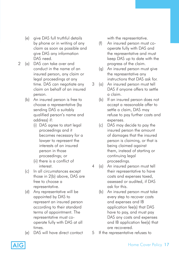- (e) give DAS full truthful details by phone or in writing of any claim as soon as possible and give DAS any information DAS need.
- 2 (a) DAS can take over and conduct in the name of an insured person, any claim or legal proceedings at any time. DAS can negotiate any claim on behalf of an insured person.
	- (b) An insured person is free to choose a representative (by sending DAS a suitably qualified person's name and address) if:
		- (i) DAS agree to start legal proceedings and it becomes necessary for a lawyer to represent the interests of an insured person in those proceedings; or
		- (ii) there is a conflict of interest.
	- (c) In all circumstances except those in 2(b) above, DAS are free to choose a representative.
	- (d) Any representative will be appointed by DAS to represent an insured person according to their standard terms of appointment. The representative must cooperate fully with DAS at all times.
	- (e) DAS will have direct contact

with the representative.

- (f) An insured person must cooperate fully with DAS and the representative and must keep DAS up to date with the progress of the claim.
- (g) An insured person must give the representative any instructions that DAS ask for.
- 3 (a) An insured person must tell DAS if anyone offers to settle a claim.
	- (b) If an insured person does not accept a reasonable offer to settle a claim, DAS may refuse to pay further costs and expenses.
	- (c) DAS may decide to pay the insured person the amount of damages that the insured person is claiming, or that is being claimed against them, instead of starting or continuing legal proceedings.
- 4 (a) An insured person must tell their representative to have costs and expenses taxed, assessed or audited, if DAS ask for this.
	- (b) An insured person must take every step to recover costs and expenses and IB application fee(s) that DAS have to pay, and must pay DAS any costs and expenses and IB application fee(s) that are recovered.
- 5 If the representative refuses to

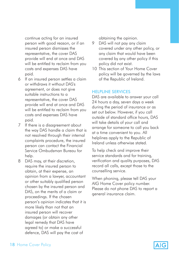continue acting for an insured person with good reason, or if an insured person dismisses the representative, the cover DAS provide will end at once and DAS will be entitled to reclaim from you costs and expenses DAS have paid.

- 6 If an insured person settles a claim or withdraws it without DAS's agreement, or does not give suitable instructions to a representative, the cover DAS provide will end at once and DAS will be entitled to reclaim from you costs and expenses DAS have paid.
- 7 If there is a disagreement about the way DAS handle a claim that is not resolved through their internal complaints procedure, the insured person can contact the Financial Service Ombudsman Bureau for help.
- 8 DAS may, at their discretion, require the insured person to obtain, at their expense, an opinion from a lawyer, accountant or other suitably qualified person chosen by the insured person and DAS, on the merits of a claim or proceedings. If the chosen person's opinion indicates that it is more likely than not that an insured person will recover damages (or obtain any other legal remedy that DAS have agreed to) or make a successful defence, DAS will pay the cost of

obtaining the opinion.

- 9 DAS will not pay any claim covered under any other policy, or any claim that would have been covered by any other policy if this policy did not exist.
- 10 This section of Your Home Cover policy will be governed by the laws of the Republic of Ireland.

#### HELPLINE SERVICES

DAS are available to answer your call 24 hours a day, seven days a week during the period of insurance or as set out below. However, if you call outside of standard office hours, DAS will take details of your call and arrange for someone to call you back at a time convenient to you. All helplines apply to the Republic of Ireland unless otherwise stated.

To help check and improve their service standards and for training, verification and quality purposes, DAS record all calls, except those to the counselling service.

When phoning, please tell DAS your AIG Home Cover policy number. Please do not phone DAS to report a general insurance claim.

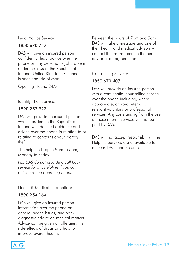Legal Advice Service:

## 1850 670 747

DAS will give an insured person confidential legal advice over the phone on any personal legal problem, under the laws of the Republic of Ireland, United Kingdom, Channel Islands and Isle of Man.

Opening Hours: 24/7

Identity Theft Service:

### 1890 252 922

DAS will provide an insured person who is resident in the Republic of Ireland with detailed guidance and advice over the phone in relation to or relating to concerns about identity theft.

The helpline is open 9am to 5pm, Monday to Friday.

*N.B DAS do not provide a call back service for this helpline if you call outside of the operating hours.*

Health & Medical Information:

#### 1890 254 164

DAS will give an insured person information over the phone on general health issues, and nondiagnostic advice on medical matters. Advice can be given on allergies, the side-effects of drugs and how to improve overall health.

Between the hours of 7pm and 9am DAS will take a message and one of their health and medical advisors will contact the insured person the next day or at an agreed time.

Counselling Service:

### 1850 670 407

DAS will provide an insured person with a confidential counselling service over the phone including, where appropriate, onward referral to relevant voluntary or professional services. Any costs arising from the use of these referral services will not be paid by DAS.

DAS will not accept responsibility if the Helpline Services are unavailable for reasons DAS cannot control.

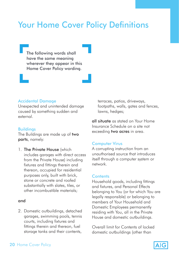# Your Home Cover Policy Definitions

The following words shall have the same meaning wherever they appear in this Home Cover Policy wording.

#### Accidental Damage

Unexpected and unintended damage caused by something sudden and external.

#### **Buildings**

The Buildings are made up of two parts, namely:

1. The Private House (which includes garages with direct access from the Private House) including fixtures and fittings therein and thereon, occupied for residential purposes only, built with brick, stone or concrete and roofed substantially with slates, tiles, or other incombustible materials;

#### and

2. Domestic outbuildings, detached garages, swimming pools, tennis courts, including fixtures and fittings therein and thereon, fuel storage tanks and their contents,

terraces, patios, driveways, footpaths, walls, gates and fences, lawns, hedges;

all situate as stated on Your Home Insurance Schedule on a site not exceeding two acres in area.

#### Computer Virus

A corrupting instruction from an unauthorised source that introduces itself through a computer system or network.

#### **Contents**

Household goods, including fittings and fixtures, and Personal Effects belonging to You (or for which You are legally responsible) or belonging to members of Your Household and Domestic Employees permanently residing with You, all in the Private House and domestic outbuildings.

Overall limit for Contents of locked domestic outbuildings (other than

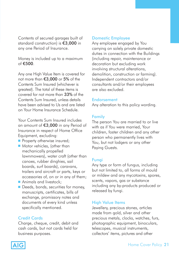Contents of secured garages built of standard construction) is €3,000 in any one Period of Insurance.

Money is included up to a maximum of €500.

Any one High Value Item is covered for not more than €3,000 or 5% of the Contents Sum Insured (whichever is greatest). The total of these items is covered for not more than 33% of the Contents Sum Insured, unless details have been advised to Us and are listed on Your Home Insurance Schedule.

Your Contents Sum Insured includes an amount of €3,000 in any Period of Insurance in respect of Home Office Equipment, excluding:

 $\blacksquare$  Property otherwise insured:

- Motor vehicles, (other than mechanically propelled lawnmowers), water craft (other than canoes, rubber dinghies, sail boards, surf boards), caravans, trailers and aircraft or parts, keys or accessories of, on or in any of them;
- Animals and livestock:
- Deeds, bonds, securities for money, manuscripts, certificates, bills of exchange, promissory notes and documents of every kind unless specifically mentioned.

#### Credit Cards

Charge, cheque, credit, debit and cash cards, but not cards held for business purposes.

#### Domestic Employee

Any employee engaged by You carrying on solely private domestic duties in connection with the Buildings (including repair, maintenance or decoration but excluding work involving structural alterations, demolition, construction or farming). Independent contractors and/or consultants and/or their employees are also excluded.

#### Endorsement

Any alteration to this policy wording.

#### Family

The person You are married to or live with as if You were married, Your children, foster children and any other person who permanently lives with You, but not lodgers or any other Paying Guests.

#### Fungi

Any type or form of fungus, including but not limited to, all forms of mould or mildew and any mycotoxins, spores, scents, vapors, gas or substance including any by-products produced or released by fungi.

#### High Value Items

Jewellery, precious stones, articles made from gold, silver and other precious metals, clocks, watches, furs, photographic equipment, binoculars, telescopes, musical instruments, collectors' items, pictures and other

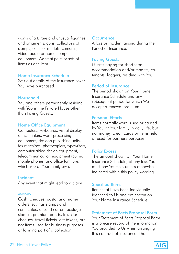works of art, rare and unusual figurines and ornaments, guns, collections of stamps, coins or medals, cameras, video, audio or home computer equipment. We treat pairs or sets of items as one item.

#### Home Insurance Schedule

Sets out details of the insurance cover You have purchased.

#### **Household**

You and others permanently residing with You in the Private House other than Paying Guests.

#### Home Office Equipment

Computers, keyboards, visual display units, printers, word-processing equipment, desktop publishing units, fax machines, photocopiers, typewriters, computer-aided design equipment, telecommunication equipment (but not mobile phones) and office furniture, which You or Your family own.

#### Incident

Any event that might lead to a claim.

#### **Money**

Cash, cheques, postal and money orders, savings stamps and certificates, unused current postage stamps, premium bonds, traveller's cheques, travel tickets, gift tokens, but not items used for business purposes or forming part of a collection.

#### **Occurrence**

A loss or incident arising during the Period of Insurance.

#### Paying Guests

Guests paying for short term accommodation and/or tenants, cotenants, lodgers, residing with You.

#### Period of Insurance

The period shown on Your Home Insurance Schedule and any subsequent period for which We accept a renewal premium.

#### Personal Effects

Items normally worn, used or carried by You or Your family in daily life, but not money, credit cards or items held or used for business purposes.

#### Policy Excess

The amount shown on Your Home Insurance Schedule, of any loss You must pay Yourself, unless otherwise indicated within this policy wording.

#### Specified Items

Items that have been individually identified to Us and are shown on Your Home Insurance Schedule.

#### Statement of Facts Proposal Form

Your Statement of Facts Proposal Form is a precise record of the information You provided to Us when arranging this contract of insurance. The

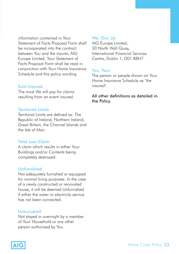information contained in Your Statement of Facts Proposal Form shall be incorporated into the contract between You and the insurer, AIG Europe Limited. Your Statement of Facts Proposal Form shall be read in conjunction with Your Home Insurance Schedule and this policy wording.

#### Sum Insured

The most We will pay for claims resulting from an event insured.

#### Territorial Limits

Territorial Limits are defined as: The Republic of Ireland, Northern Ireland, Great Britain, the Channel Islands and the Isle of Man.

#### Total Loss Claim

A claim which results in either Your Buildings and/or Contents being completely destroyed.

#### Unfurnished

Not adequately furnished or equipped for normal living purposes. In the case of a newly constructed or renovated house, it will be deemed Unfurnished if either the water or electricity service has not been connected.

#### Unoccupied

Not stayed in overnight by a member of Your Household or any other person authorised by You.

#### We, Our, Us

AIG Europe Limited, 30 North Wall Quay, International Financial Services Centre, Dublin 1, D01 R8H7.

#### You, Your

The person or people shown on Your Home Insurance Schedule as 'the insured'.

#### All other definitions as detailed in the Policy.

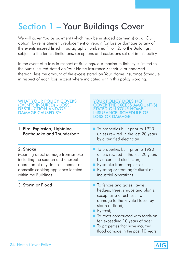# Section 1 – Your Buildings Cover

We will cover You by payment (which may be in staged payments) or, at Our option, by reinstatement, replacement or repair, for loss or damage by any of the events insured listed in paragraphs numbered 1 to 12, to the Buildings, subject to the terms, limitations, exceptions and exclusions set out in this policy.

In the event of a loss in respect of Buildings, our maximum liability is limited to the Sums Insured stated on Your Home Insurance Schedule or endorsed thereon, less the amount of the excess stated on Your Home Insurance Schedule in respect of each loss, except where indicated within this policy wording.

| WHAT YOUR POLICY COVERS<br>(EVENTS INSURED) - LOSS,<br>DESTRUCTION AND/OR<br><b>DAMAGE CAUSED BY:</b>                                                                                  | YOUR POLICY DOES NOT<br><b>COVER THE EXCESS AMOUNT(S)</b><br><b>ON YOUR HOME</b><br>ISURANCE SCHEDULE OR<br>LOSS OR DAMAGE:                                                                                                                                                                                           |  |
|----------------------------------------------------------------------------------------------------------------------------------------------------------------------------------------|-----------------------------------------------------------------------------------------------------------------------------------------------------------------------------------------------------------------------------------------------------------------------------------------------------------------------|--|
| 1. Fire, Explosion, Lightning,<br><b>Earthquake and Thunderbolt</b>                                                                                                                    | To properties built prior to 1920<br>unless rewired in the last 20 years<br>by a certified electrician.                                                                                                                                                                                                               |  |
| 2. Smoke<br>Meaning direct damage from smoke<br>including the sudden and unusual<br>operation of any domestic heater or<br>domestic cooking appliance located<br>within the Buildings. | ■ To properties built prior to 1920<br>unless rewired in the last 20 years<br>by a certified electrician;<br>By smoke from fireplaces;<br>By smog or from agricultural or<br>industrial operations.                                                                                                                   |  |
| 3. Storm or Flood                                                                                                                                                                      | To fences and gates, lawns,<br>hedges, trees, shrubs and plants,<br>except as a direct result of<br>damage to the Private House by<br>storm or flood;<br>By frost;<br>To roofs constructed with torch-on<br>felt exceeding 10 years of age;<br>To properties that have incurred<br>flood damage in the past 10 years; |  |

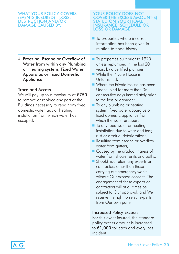| <b>WHAT YOUR POLICY COVERS</b><br>(EVENTS INSURED) - LOSS,<br><b>DESTRUCTION AND/OR<br/>DAMAGE CAUSED BY:</b>                                                                                                                                                                                                                                                                                         | <b>YOUR POLICY DOES NOT</b><br><b>OVER THE EXCESS AMOUNT(S)</b><br><b>STATED ON YOUR HOME</b><br><b>INSURANCE SCHEDULE OR</b><br><b>LOSS OR DAMAGE:</b><br>lacktriangleright To properties where incorrect<br>information has been given in<br>relation to flood history.                                                                                                                                                                                                                                                                                                                                                                                                                                                                                                                                                                                                                                                                                                                                                                                                                                                                           |
|-------------------------------------------------------------------------------------------------------------------------------------------------------------------------------------------------------------------------------------------------------------------------------------------------------------------------------------------------------------------------------------------------------|-----------------------------------------------------------------------------------------------------------------------------------------------------------------------------------------------------------------------------------------------------------------------------------------------------------------------------------------------------------------------------------------------------------------------------------------------------------------------------------------------------------------------------------------------------------------------------------------------------------------------------------------------------------------------------------------------------------------------------------------------------------------------------------------------------------------------------------------------------------------------------------------------------------------------------------------------------------------------------------------------------------------------------------------------------------------------------------------------------------------------------------------------------|
| 4. Freezing, Escape or Overflow of<br>Water from within any Plumbing<br>or Heating system, Fixed Water<br><b>Apparatus or Fixed Domestic</b><br>Appliance.<br><b>Trace and Access</b><br>We will pay up to a maximum of $E$ 750<br>to remove or replace any part of the<br>Buildings necessary to repair any fixed<br>domestic water, gas or heating<br>installation from which water has<br>escaped. | lacktriangleries built prior to 1920<br>unless replumbed in the last 20<br>years by a certified plumber;<br>■ While the Private House is<br>Unfurnished:<br>■ Where the Private House has been<br>Unoccupied for more than 35<br>consecutive days immediately prior<br>to the loss or damage;<br>■ To any plumbing or heating<br>system, fixed water apparatus or<br>fixed domestic appliance from<br>which the water escapes;<br>■ To any fixed water or heating<br>installation due to wear and tear,<br>rust or gradual deterioration;<br>Resulting from escape or overflow<br>water from gutters;<br>Caused by the gradual ingress of<br>water from shower units and baths;<br>Should You retain any experts or<br>contractors other than those<br>carrying out emergency works<br>without Our express consent. The<br>engagement of these experts or<br>contractors will at all times be<br>subject to Our approval, and We<br>reserve the right to select experts<br>from Our own panel.<br><b>Increased Policy Excess:</b><br>For this event insured, the standard<br>policy excess amount is increased<br>to €1,000 for each and every loss |

incident.

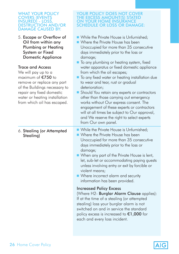#### WHAT YOUR POLICY COVERS (EVENTS INSURED) - LOSS, DESTRUCTION AND/OR DAMAGE CAUSED BY:

5. Escape or Overflow of Oil from within any Plumbing or Heating System or Fixed Domestic Appliance

#### Trace and Access

We will pay up to a maximum of €750 to remove or replace any part of the Buildings necessary to repair any fixed domestic water or heating installation from which oil has escaped.

#### 6. Stealing (or Attempted Stealing)

#### YOUR POLICY DOES NOT COVER THE EXCESS AMOUNT(S) STATED ON YOUR HOME INSURANCE SCHEDULE OR LOSS OR DAMAGE:

- $\blacksquare$  While the Private House is Unfurnished:
- **n** Where the Private House has been Unoccupied for more than 35 consecutive days immediately prior to the loss or damage;
- To any plumbing or heating system, fixed water apparatus or fixed domestic appliance from which the oil escapes;
- To any fixed water or heating installation due to wear and tear, rust or gradual deterioration;
- **n** Should You retain any experts or contractors other than those carrying out emergency works without Our express consent. The engagement of these experts or contractors will at all times be subject to Our approval, and We reserve the right to select experts from Our own panel.
- While the Private House is Unfurnished: **n** Where the Private House has been
	- Unoccupied for more than 35 consecutive days immediately prior to the loss or damage;
- When any part of the Private House is lent, let, sub-let or accommodating paying guests unless involving entry or exit by forcible or violent means;
- Where incorrect alarm and security information has been provided.

#### Increased Policy Excess

(Where H2- Burglar Alarm Clause applies): If at the time of a stealing (or attempted stealing) loss your burglar alarm is not switched on and in service the standard policy excess is increased to €1,000 for each and every loss incident.

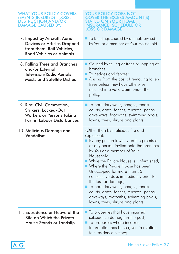#### WHAT YOUR POLICY COVERS (EVENTS INSURED) - LOSS, DESTRUCTION AND/OR DAMAGE CAUSED BY:

#### YOUR POLICY DOES NOT COVER THE EXCESS AMOUNT(S) STATED ON YOUR HOME INSURANCE SCHEDULE OR LOSS OR DAMAGE:

| 7. Impact by Aircraft, Aerial<br><b>Devices or Articles Dropped</b><br>from them, Rail Vehicles,<br><b>Road Vehicles or Animals</b> | ■ To Buildings caused by animals owned<br>by You or a member of Your Household                                                                                                                                                                                                                                                                                                                                                                                                                                                |  |  |
|-------------------------------------------------------------------------------------------------------------------------------------|-------------------------------------------------------------------------------------------------------------------------------------------------------------------------------------------------------------------------------------------------------------------------------------------------------------------------------------------------------------------------------------------------------------------------------------------------------------------------------------------------------------------------------|--|--|
| 8. Falling Trees and Branches<br>and/or External<br>Television/Radio Aerials,<br><b>Masts and Satellite Dishes</b>                  | ■ Caused by felling of trees or lopping of<br>branches;<br>To hedges and fences;<br>Arising from the cost of removing fallen<br>trees unless they have otherwise<br>resulted in a valid claim under the<br>policy.                                                                                                                                                                                                                                                                                                            |  |  |
| 9. Riot, Civil Commotion,<br>Strikers, Locked-Out<br><b>Workers or Persons Taking</b><br><b>Part in Labour Disturbances</b>         | ■ To boundary walls, hedges, tennis<br>courts, gates, fences, terraces, patios,<br>drive ways, footpaths, swimming pools,<br>lawns, trees, shrubs and plants.                                                                                                                                                                                                                                                                                                                                                                 |  |  |
| 10. Malicious Damage and<br>Vandalism                                                                                               | (Other than by malicious fire and<br>explosion):<br>By any person lawfully on the premises<br>or any person invited onto the premises<br>by You or a member of Your<br>Household;<br>While the Private House is Unfurnished;<br>Where the Private House has been<br>Unoccupied for more than 35<br>consecutive days immediately prior to<br>the loss or damage;<br>To boundary walls, hedges, tennis<br>courts, gates, fences, terraces, patios,<br>driveways, footpaths, swimming pools,<br>lawns, trees, shrubs and plants. |  |  |
| 11. Subsidence or Heave of the<br>Site on Which the Private<br>House Stands or Landslip                                             | lacktriangleright To properties that have incurred<br>subsidence damage in the past;<br>lacktriangleright To properties where incorrect<br>information has been given in relation<br>to subsidence history;                                                                                                                                                                                                                                                                                                                   |  |  |

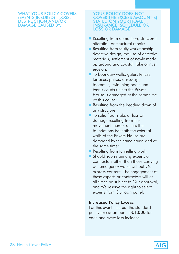#### WHAT YOUR POLICY COVERS (EVENTS INSURED) - LOSS, DESTRUCTION AND/OR DAMAGE CAUSED BY:

#### YOUR POLICY DOES NOT COVER THE EXCESS AMOUNT(S) STATED ON YOUR HOME INSURANCE SCHEDULE OR LOSS OR DAMAGE:

- Resulting from demolition, structural alteration or structural repair;
- Resulting from faulty workmanship, defective design, the use of defective materials, settlement of newly made up ground and coastal, lake or river erosion;
- To boundary walls, gates, fences, terraces, patios, driveways, footpaths, swimming pools and tennis courts unless the Private House is damaged at the same time by this cause;
- Resulting from the bedding down of any structure;
- To solid floor slabs or loss or damage resulting from the movement thereof unless the foundations beneath the external walls of the Private House are damaged by the same cause and at the same time;
- $\blacksquare$  Resulting from tunnelling work;
- **n** Should You retain any experts or contractors other than those carrying out emergency works without Our express consent. The engagement of these experts or contractors will at all times be subject to Our approval, and We reserve the right to select experts from Our own panel.

#### Increased Policy Excess:

For this event insured, the standard policy excess amount is €1,000 for each and every loss incident.

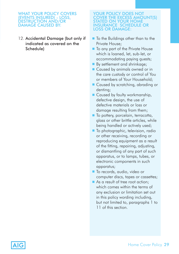#### WHAT YOUR POLICY COVERS (EVENTS INSURED) - LOSS, DESTRUCTION AND/OR DAMAGE CAUSED BY:

12. Accidental Damage (but only if indicated as covered on the Schedule)

#### YOUR POLICY DOES NOT COVER THE EXCESS AMOUNT(S) STATED ON YOUR HOME INSURANCE SCHEDULE OR LOSS OR DAMAGE:

- To the Buildings other than to the Private House;
- To any part of the Private House which is loaned, let, sub-let, or accommodating paying guests;
- **n** By settlement and shrinkage;
- Caused by animals owned or in the care custody or control of You or members of Your Household;
- Caused by scratching, abrading or denting;
- Caused by faulty workmanship, defective design, the use of defective materials or loss or damage resulting from them;
- To pottery, porcelain, terracotta, glass or other brittle articles, while being handled or actively used;
- To photographic, television, radio or other receiving, recording or reproducing equipment as a result of the fitting, repairing, adjusting, or dismantling of any part of such apparatus, or to lamps, tubes, or electronic components in such apparatus;
- To records, audio, video or computer discs, tapes or cassettes;
- As a result of tree root action; which comes within the terms of any exclusion or limitation set out in this policy wording including, but not limited to, paragraphs 1 to 11 of this section.

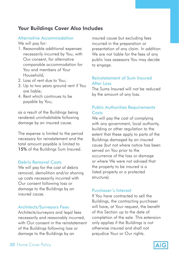# **Your Buildings Cover Also Includes**

#### Alternative Accommodation

We will pay for:

- 1. Reasonable additional expenses necessarily incurred by You, with Our consent, for alternative comparable accommodation for You and members of Your Household;
- 2. Loss of rent due to You;
- 3. Up to two years ground rent if You are liable;
- 4. Rent which continues to be payable by You;

as a result of the Buildings being rendered uninhabitable following damage by an insured cause.

The expense is limited to the period necessary for reinstatement and the total amount payable is limited to 15% of the Buildings Sum Insured.

#### Debris Removal Costs

We will pay for the cost of debris removal, demolition and/or shoring up costs necessarily incurred with Our consent following loss or damage to the Buildings by an insured cause.

#### Architects/Surveyors Fees

Architects/surveyors and legal fees necessarily and reasonably incurred, with Our consent in the reinstatement of the Buildings following loss or damage to the Buildings by an

insured cause but excluding fees incurred in the preparation or presentation of any claim. In addition We are not liable for the fees of any public loss assessors You may decide to engage.

### Reinstatement of Sum Insured After Loss

The Sums Insured will not be reduced by the amount of any loss.

### Public Authorities Requirements Costs

We will pay the cost of complying with any government, local authority, building or other regulation to the extent that these apply to parts of the Buildings damaged by an insured cause (but not where notice has been served on You prior to the occurrence of the loss or damage or where We were not advised that the property to be insured is a listed property or a protected structure).

#### Purchaser's Interest

If You have contracted to sell the Buildings, the contracting purchaser will have, at Your request, the benefit of this Section up to the date of completion of the sale. This extension only applies if the Buildings is not otherwise insured and shall not prejudice Your or Our rights.

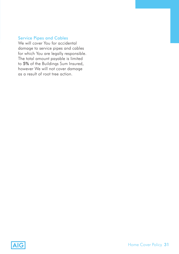#### Service Pipes and Cables

We will cover You for accidental damage to service pipes and cables for which You are legally responsible. The total amount payable is limited to 5% of the Buildings Sum Insured, however We will not cover damage as a result of root tree action.

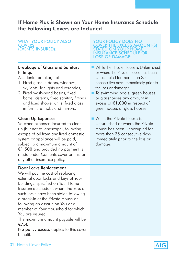# **If Home Plus is Shown on Your Home Insurance Schedule the Following Covers are Included**

| <b>WHAT YOUR POLICY ALSO</b><br><b>COVERS</b><br>(EVENTS INSURED):                                                                                                                                                                                                                                                                                                                                                                                      | YOUR POLICY DOES NOT<br><b>OVER THE EXCESS AMOUNT(S)</b><br>TATED ON YOUR HOME<br><b>ISURANCE SCHEDULE OR</b><br><b>LOSS OR DAMAGE:</b>                                                                                                                                                                               |
|---------------------------------------------------------------------------------------------------------------------------------------------------------------------------------------------------------------------------------------------------------------------------------------------------------------------------------------------------------------------------------------------------------------------------------------------------------|-----------------------------------------------------------------------------------------------------------------------------------------------------------------------------------------------------------------------------------------------------------------------------------------------------------------------|
| <b>Breakage of Glass and Sanitary</b><br><b>Fittings</b><br>Accidental breakage of:<br>1. Fixed glass in doors, windows,<br>skylights, fanlights and verandas;<br>2. Fixed wash-hand basins, fixed<br>baths, cisterns, fixed sanitary fittings<br>and fixed shower units, fixed glass<br>in furniture, hobs and mirrors.                                                                                                                                | ■ While the Private House is Unfurnished<br>or where the Private House has been<br>Unoccupied for more than 35<br>consecutive days immediately prior to<br>the loss or damage;<br>■ To swimming pools, green houses<br>or glasshouses any amount in<br>excess of €1,000 in respect of<br>greenhouses or glass houses. |
| <b>Clean Up Expenses</b><br>Vouched expenses incurred to clean<br>up (but not to landscape), following<br>escape of oil from any fixed domestic<br>system or appliance will be paid,<br>subject to a maximum amount of<br>€1,500 and provided no payment is<br>made under Contents cover on this or<br>any other insurance policy.                                                                                                                      | ■ While the Private House is<br>Unfurnished or where the Private<br>House has been Unoccupied for<br>more than 35 consecutive days<br>immediately prior to the loss or<br>damage.                                                                                                                                     |
| Door Locks Replacement<br>We will pay the cost of replacing<br>external door locks and keys of Your<br>Buildings, specified on Your Home<br>Insurance Schedule, where the keys of<br>such locks have been stolen following<br>a break-in at the Private House or<br>following an assault on You or a<br>member of Your Household for which<br>You are insured.<br>The maximum amount payable will be<br>€750.<br>No policy excess applies to this cover |                                                                                                                                                                                                                                                                                                                       |

32 Home Cover Policy

benefit.

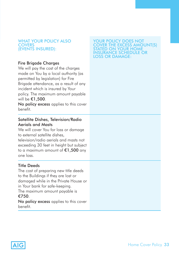#### WHAT YOUR POLICY ALSO COVERS (EVENTS INSURED):

#### Fire Brigade Charges

We will pay the cost of the charges made on You by a local authority (as permitted by legislation) for Fire Brigade attendance, as a result of any incident which is insured by Your policy. The maximum amount payable will be €1,500.

No policy excess applies to this cover benefit.

#### Satellite Dishes, Television/Radio Aerials and Masts

We will cover You for loss or damage to external satellite dishes, television/radio aerials and masts not exceeding 30 feet in height but subject to a maximum amount of €1,500 any

one loss.

#### Title Deeds

The cost of preparing new title deeds to the Buildings if they are lost or damaged while in the Private House or in Your bank for safe-keeping. The maximum amount payable is €750.

No policy excess applies to this cover benefit.

#### YOUR POLICY DOES NOT COVER THE EXCESS AMOUNT(S) STATED ON YOUR HOME INSURANCE SCHEDULE OR LOSS OR DAMAGE:

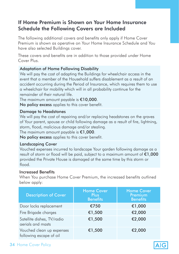# **If Home Premium is Shown on Your Home Insurance Schedule the Following Covers are Included**

The following additional covers and benefits only apply if Home Cover Premium is shown as operative on Your Home Insurance Schedule and You have also selected Buildings cover.

These covers and benefits are in addition to those provided under Home Cover Plus.

#### Adaptation of Home Following Disability

We will pay the cost of adapting the Buildings for wheelchair access in the event that a member of the Household suffers disablement as a result of an accident occurring during the Period of Insurance, which requires them to use a wheelchair for mobility which will in all probability continue for the remainder of their natural life.

The maximum amount payable is  $£10,000$ .

No policy excess applies to this cover benefit.

#### Damage to Headstones

We will pay the cost of repairing and/or replacing headstones on the graves of Your parent, spouse or child following damage as a result of fire, lightning, storm, flood, malicious damage and/or stealing.

The maximum amount payable is  $€1,000$ .

No policy excess applies to this cover benefit.

#### Landscaping Cover

Vouched expenses incurred to landscape Your garden following damage as a result of storm or flood will be paid, subject to a maximum amount of €1,000 provided the Private House is damaged at the same time by this storm or flood.

#### Increased Benefits

When You purchase Home Cover Premium, the increased benefits outlined below apply:

| <b>Description of Cover</b>                          | <b>Home Cover</b><br><b>Plus</b><br><b>Benefits</b> | <b>Home Cover</b><br>Premium<br><b>Benefits</b> |
|------------------------------------------------------|-----------------------------------------------------|-------------------------------------------------|
| Door locks replacement                               | €750                                                | €1,000                                          |
| Fire Brigade charges                                 | €1,500                                              | €2,000                                          |
| Satellite dishes, TV/radio<br>aerials and masts      | €1,500                                              | €2,000                                          |
| Vouched clean up expenses<br>following escape of oil | €1,500                                              | €2,000                                          |

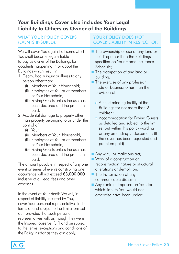# **Your Buildings Cover also includes Your Legal Liability to Others as Owner of the Buildings**

#### WHAT YOUR POLICY COVERS (EVENTS INSURED):

We will cover You against all sums which You shall become legally liable to pay as owner of the Buildings for accidents happening in or about the Buildings which result in:

- 1. Death, bodily injury or illness to any person other than:
	- (i) Members of Your Household;
	- (ii) Employees of You or of members of Your Household;
	- (iii) Paying Guests unless the use has been declared and the premium paid.
- 2. Accidental damage to property other than property belonging to or under the control of:
	- (i) You;
	- (ii) Members of Your Household;
	- (iii) Employees of You or of members of Your Household;
	- (iv) Paying Guests unless the use has been declared and the premium paid.

The amount payable in respect of any one event or series of events constituting one occurrence will not exceed €3,000,000 inclusive of all legal fees and other expenses.

In the event of Your death We will, in respect of liability incurred by You, cover Your personal representatives in the terms of and subject to the limitations set out, provided that such personal representatives will, as though they were the Insured, observe, fulfil and be subject to the terms, exceptions and conditions of the Policy insofar as they can apply.

## YOUR POLICY DOES NOT COVER LIABILITY IN RESPECT OF:

- The ownership or use of any land or building other than the Buildings specified on Your Home Insurance Schedule;
- The occupation of any land or building;
- $\blacksquare$  The exercise of any profession, trade or business other than the provision of:
	- $\circ$  A child minding facility at the Buildings for not more than 2 children;
	- o Accommodation for Pavina Guests as detailed and subject to the limit set out within this policy wording or any amending Endorsement; (If the cover has been requested and premium paid)
- Any wilful or malicious act:
- Work of a construction or reconstruction nature or structural alterations or demolition;
- $\blacksquare$  The transmission of any communicable disease;
- **n** Any contract imposed on You, for which liability You would not otherwise have been under;

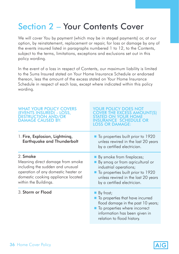# Section 2 – Your Contents Cover

We will cover You by payment (which may be in staged payments) or, at our option, by reinstatement, replacement or repair, for loss or damage by any of the events insured listed in paragraphs numbered 1 to 12, to the Contents, subject to the terms, limitations, exceptions and exclusions set out in this policy wording.

In the event of a loss in respect of Contents, our maximum liability is limited to the Sums Insured stated on Your Home Insurance Schedule or endorsed thereon, less the amount of the excess stated on Your Home Insurance Schedule in respect of each loss, except where indicated within this policy wording.

| <b>WHAT YOUR POLICY COVERS</b><br><u>(EVENTS INSURED) - LOSS,</u><br><b>DESTRUCTION AND/OR</b><br><b>DAMAGE CAUSED BY:</b>                                                             | YOUR POLICY DOES NOT<br><b>OVER THE EXCESS AMOUNT(S)</b><br>N YOUR H<br>ANCE SCHEDULE OR<br>LOSS OR DAMAGE:                                                                                              |
|----------------------------------------------------------------------------------------------------------------------------------------------------------------------------------------|----------------------------------------------------------------------------------------------------------------------------------------------------------------------------------------------------------|
| 1. Fire, Explosion, Lightning,<br><b>Earthquake and Thunderbolt</b>                                                                                                                    | To properties built prior to 1920<br>unless rewired in the last 20 years<br>by a certified electrician.                                                                                                  |
| 2. Smoke<br>Meaning direct damage from smoke<br>including the sudden and unusual<br>operation of any domestic heater or<br>domestic cooking appliance located<br>within the Buildings. | <b>By smoke from fireplaces;</b><br>By smog or from agricultural or<br>industrial operations;<br>To properties built prior to 1920<br>unless rewired in the last 20 years<br>by a certified electrician. |
| 3. Storm or Flood                                                                                                                                                                      | By frost;<br>To properties that have incurred<br>flood damage in the past 10 years;<br>lacktriangleright To properties where incorrect<br>information has been given in<br>relation to flood history.    |

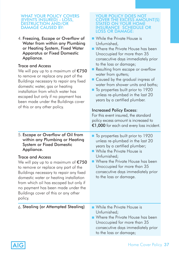#### WHAT YOUR POLICY COVERS (EVENTS INSURED) - LOSS, DESTRUCTION AND/OR DAMAGE CAUSED BY:

4. Freezing, Escape or Overflow of Water from within any Plumbing or Heating System, Fixed Water Apparatus or Fixed Domestic Appliance.

## Trace and Access

We will pay up to a maximum of €750 to remove or replace any part of the Buildings necessary to repair any fixed domestic water, gas or heating installation from which water has escaped but only if no payment has been made under the Buildings cover of this or any other policy.

#### YOUR POLICY DOES NOT COVER THE EXCESS AMOUNT(S) STATED ON YOUR HOME INSURANCE SCHEDULE OR LOSS OR DAMAGE:

- While the Private House is Unfurnished,
- **N** Where the Private House has been Unoccupied for more than 35 consecutive days immediately prior to the loss or damage;
- Resulting from escape or overflow water from gutters;
- Caused by the gradual ingress of water from shower units and baths;
- To properties built prior to 1920 unless re-plumbed in the last 20 years by a certified plumber.

## Increased Policy Excess:

to the loss or damage;

For this event insured, the standard policy excess amount is increased to €1,000 for each and every loss incident.

5. Escape or Overflow of Oil from within any Plumbing or Heating System or Fixed Domestic Appliance. Trace and Access We will pay up to a maximum of €750 to remove or replace any part of the Buildings necessary to repair any fixed domestic water or heating installation from which oil has escaped but only if no payment has been made under the Buildings cover of this or any other policy. 6. Stealing (or Attempted Stealing) ■ To properties built prior to 1920 unless re-plumbed in the last 20 years by a certified plumber; **No While the Private House is** Unfurnished; **N** Where the Private House has been Unoccupied for more than 35 consecutive days immediately prior to the loss or damage. **n** While the Private House is Unfurnished; **No. 20 Where the Private House has been** Unoccupied for more than 35 consecutive days immediately prior

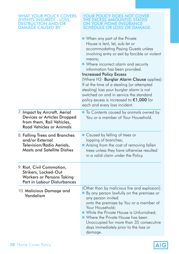| <b>WHAT YOUR POLICY COVERS</b><br>(EVENTS INSURED) - LOSS,<br><b>DESTRUCTION AND/OR</b><br><b>DAMAGE CAUSED BY:</b>                 | <b>YOUR POLICY DOES NOT COVER</b><br><b>THE EXCESS AMOUNT(S) STATED</b><br>ON YOUR HOME INSURANCE<br><b>SCHEDULE OR LOSS OR DAMAGE:</b>                                                                                                                                                                                                                                                                                                                                                                                                       |
|-------------------------------------------------------------------------------------------------------------------------------------|-----------------------------------------------------------------------------------------------------------------------------------------------------------------------------------------------------------------------------------------------------------------------------------------------------------------------------------------------------------------------------------------------------------------------------------------------------------------------------------------------------------------------------------------------|
|                                                                                                                                     | ■ When any part of the Private<br>House is lent, let, sub-let or<br>accommodating Paying Guests unless<br>involving entry or exit by forcible or violent<br>means;<br>Where incorrect alarm and security<br>information has been provided.<br><b>Increased Policy Excess</b><br>(Where H2- Burglar Alarm Clause applies):<br>If at the time of a stealing (or attempted<br>stealing) loss your burglar alarm is not<br>switched on and in service the standard<br>policy excess is increased to $$1,000$ for<br>each and every loss incident. |
| 7. Impact by Aircraft, Aerial<br><b>Devices or Articles Dropped</b><br>from them, Rail Vehicles,<br><b>Road Vehicles or Animals</b> | ■ To Contents caused by animals owned by<br>You or a member of Your Household.                                                                                                                                                                                                                                                                                                                                                                                                                                                                |
| 8. Falling Trees and Branches<br>and/or External<br>Television/Radio Aerials,<br><b>Masts and Satellite Dishes</b>                  | ■ Caused by felling of trees or<br>lopping of branches;<br>Arising from the cost of removing fallen<br>trees unless they have otherwise resulted<br>in a valid claim under the Policy.                                                                                                                                                                                                                                                                                                                                                        |
| 9. Riot, Civil Commotion,<br>Strikers, Locked-Out<br><b>Workers or Persons Taking</b><br><b>Part in Labour Disturbances</b>         |                                                                                                                                                                                                                                                                                                                                                                                                                                                                                                                                               |
| 10. Malicious Damage and<br>Vandalism                                                                                               | (Other than by malicious fire and explosion):<br>By any person lawfully on the premises or<br>any person invited<br>onto the premises by You or a member of<br>Your Household;<br>While the Private House is Unfurnished;<br>Where the Private House has been<br>Unoccupied for more than 35 consecutive<br>days immediately prior to the loss or<br>damage.                                                                                                                                                                                  |

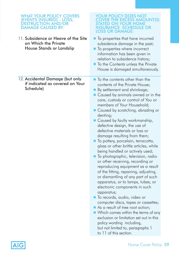| <b>WHAT YOUR POLICY COVERS</b><br>(EVENTS INSURED) - LOSS,<br><b>DESTRUCTION AND/OR</b><br><b>DAMAGE CAUSED BY:</b> | <b>YOUR POLICY DOES NOT</b><br><b>COVER THE EXCESS AMOUNT(S)</b><br>STATED ON YOUR HOME<br>INSURANCE SCHEDULE OR<br><b>LOSS OR DAMAGE:</b>                                                                                                                                                                                                                                                                                                                                                                                                                                                                                                                                                                                                                                                                                                                                                                                                                                                                                                                                                              |
|---------------------------------------------------------------------------------------------------------------------|---------------------------------------------------------------------------------------------------------------------------------------------------------------------------------------------------------------------------------------------------------------------------------------------------------------------------------------------------------------------------------------------------------------------------------------------------------------------------------------------------------------------------------------------------------------------------------------------------------------------------------------------------------------------------------------------------------------------------------------------------------------------------------------------------------------------------------------------------------------------------------------------------------------------------------------------------------------------------------------------------------------------------------------------------------------------------------------------------------|
| 11. Subsidence or Heave of the Site<br>on Which the Private<br>House Stands or Landslip                             | • To properties that have incurred<br>subsidence damage in the past;<br>• To properties where incorrect<br>information has been given in<br>relation to subsidence history;<br>■ To the Contents unless the Private<br>House is damaged simultaneously.                                                                                                                                                                                                                                                                                                                                                                                                                                                                                                                                                                                                                                                                                                                                                                                                                                                 |
| 12. Accidental Damage (but only<br>if indicated as covered on Your<br>Schedule)                                     | ■ To the contents other than the<br>contents of the Private House;<br><b>By settlement and shrinkage;</b><br>Caused by animals owned or in the<br>care, custody or control of You or<br>members of Your Household;<br>■ Caused by scratching, abrading or<br>denting;<br>Caused by faulty workmanship,<br>defective design, the use of<br>defective materials or loss or<br>damage resulting from them;<br>■ To pottery, porcelain, terracotta,<br>glass or other brittle articles, while<br>being handled or actively used;<br>■ To photographic, television, radio<br>or other receiving, recording or<br>reproducing equipment as a result<br>of the fitting, repairing, adjusting,<br>or dismantling of any part of such<br>apparatus, or to lamps, tubes, or<br>electronic components in such<br>apparatus;<br>To records, audio, video or<br>computer discs, tapes or cassettes;<br>As a result of tree root action;<br>Which comes within the terms of any<br>exclusion or limitation set out in this<br>policy wording including,<br>but not limited to, paragraphs 1<br>to 11 of this section. |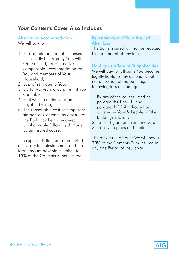# **Your Contents Cover Also Includes**

# Alternative Accommodation

We will pay for:

- 1. Reasonable additional expenses necessarily incurred by You, with Our consent, for alternative comparable accommodation for You and members of Your Household;
- 2. Loss of rent due to You;
- 3. Up to two years ground rent if You are liable;
- 4. Rent which continues to be payable by You;
- 5. The reasonable cost of temporary storage of Contents, as a result of the Buildings being rendered uninhabitable following damage by an insured cause.

The expense is limited to the period necessary for reinstatement and the total amount payable is limited to 15% of the Contents Sums Insured.

#### Reinstatement of Sum Insured After Loss

The Sums Insured will not be reduced by the amount of any loss.

## Liability as a Tenant (if applicable)

We will pay for all sums You become legally liable to pay as tenant, but not as owner, of the buildings following loss or damage:

- 1. By any of the causes listed at paragraphs 1 to 11, and paragraph 12 if indicated as covered in Your Schedule, of the Buildings section;
- 2. To fixed glass and sanitary ware;
- 3. To service pipes and cables.

The maximum amount We will pay is 20% of the Contents Sum Insured in any one Period of Insurance.

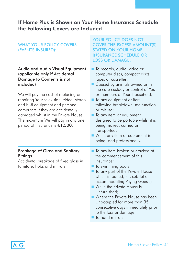# **If Home Plus is Shown on Your Home Insurance Schedule the Following Covers are Included**

| <b>WHAT YOUR POLICY COVERS</b><br>(EVENTS INSURED):                                                                                                                                                                                                                                                                                                                                        | <b>YOUR POLICY DOES NOT</b><br><b>COVER THE EXCESS AMOUNT(S)</b><br><b>STATED ON YOUR HOME</b><br><b>INSURANCE SCHEDULE OR</b><br><b>LOSS OR DAMAGE:</b>                                                                                                                                                                                                                                                                                                      |
|--------------------------------------------------------------------------------------------------------------------------------------------------------------------------------------------------------------------------------------------------------------------------------------------------------------------------------------------------------------------------------------------|---------------------------------------------------------------------------------------------------------------------------------------------------------------------------------------------------------------------------------------------------------------------------------------------------------------------------------------------------------------------------------------------------------------------------------------------------------------|
| Audio and Audio Visual Equipment<br>(applicable only if Accidental<br>Damage to Contents is not<br>included)<br>We will pay the cost of replacing or<br>repairing Your television, video, stereo<br>and hi-fi equipment and personal<br>computers if they are accidentally<br>damaged whilst in the Private House.<br>The maximum We will pay in any one<br>period of insurance is €1,500. | To records, audio, video or<br>computer discs, compact discs,<br>tapes or cassettes;<br>Caused by animals owned or in<br>the care custody or control of You<br>or members of Your Household;<br>■ To any equipment or item<br>following breakdown, malfunction<br>or misuse;<br>■ To any item or equipment<br>designed to be portable whilst it is<br>being moved, carried or<br>transported;<br>While any item or equipment is<br>being used professionally. |
| <b>Breakage of Glass and Sanitary</b><br><b>Fittings</b><br>Accidental breakage of fixed glass in<br>furniture, hobs and mirrors.                                                                                                                                                                                                                                                          | ■ To any item broken or cracked at<br>the commencement of this<br>insurance;<br>To swimming pools;<br>Do any part of the Private House<br>which is loaned, let, sub-let or<br>accommodating Paying Guests;<br>While the Private House is<br>Unfurnished;<br>■ Where the Private House has been<br>Unoccupied for more than 35<br>consecutive days immediately prior<br>to the loss or damage;<br><b>To hand mirrors.</b>                                      |

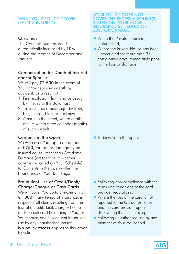| <b>WHAT YOUR POLICY COVERS</b><br>(EVENTS INSURED):                                                                                                                                                                                                                                                                                                                                                                         | <b>YOUR POLICY DOES NOT</b><br><b>OVER THE EXCESS AMOUNT(S)</b><br><b>TATED ON YOUR HOME</b><br><b>INSURANCE SCHEDULE OR</b><br><b>LOSS OR DAMAGE:</b>                                                                                                                                                          |
|-----------------------------------------------------------------------------------------------------------------------------------------------------------------------------------------------------------------------------------------------------------------------------------------------------------------------------------------------------------------------------------------------------------------------------|-----------------------------------------------------------------------------------------------------------------------------------------------------------------------------------------------------------------------------------------------------------------------------------------------------------------|
| Christmas<br>The Contents Sum Insured is<br>automatically increased by 10%<br>during the months of December and<br>January.                                                                                                                                                                                                                                                                                                 | While the Private House is<br>Unfurnished;<br>Where the Private House has been<br>Unoccupied for more than 35<br>consecutive days immediately prior<br>to the loss or damage.                                                                                                                                   |
| <b>Compensation for Death of Insured</b><br>and/or Spouse<br>We will pay $E$ ,500 in the event of<br>You or Your spouse's death by<br>accident, as a result of:<br>1. Fire, explosion, lightning or assault<br>by thieves at the Buildings;<br>2. Travelling as a passenger by train,<br>bus, licensed taxi or hackney;<br>3. Assault in the street, where death<br>occurs within three calendar months<br>of such assault. |                                                                                                                                                                                                                                                                                                                 |
| Contents in the Open<br>We will cover You, up to an amount<br>of €750, for loss or damage by an<br>insured cause, other than Accidental<br>Damage (irrespective of whether<br>cover is indicated on Your Schedule),<br>to Contents in the open within the<br>boundaries of Your Buildings.                                                                                                                                  | To bicycles in the open.<br>ш                                                                                                                                                                                                                                                                                   |
| Fraudulent Use of Credit/Debit/<br><b>Charge/Cheque or Cash Cards</b><br>We will cover You up to a maximum of<br>€1,000 in any Period of Insurance, in<br>respect of all claims resulting from the<br>loss of a credit/debit/charge/cheque<br>and/or cash card belonging to You, or<br>Your spouse and subsequent fraudulent<br>use by any unauthorised person.<br>No policy excess applies to this cover<br>benefit.       | Following non-compliance with the<br>ш<br>terms and conditions of the card<br>provider regulations;<br>Where the loss of the card is not<br>reported to the Gardai or Police<br>and the card provider upon<br>discovering that it is missing;<br>Following unauthorised use by any<br>member of Your Household. |

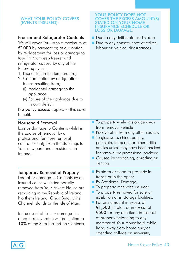#### WHAT YOUR POLICY COVERS (EVENTS INSURED):

|                                                                                                                                                                                                                                                                                                                                                                                                                                                                                                                                | <b>LOSS OR DAMAGE:</b>                                                                                                                                                                                                                                                                                                                                                                                                                                  |  |
|--------------------------------------------------------------------------------------------------------------------------------------------------------------------------------------------------------------------------------------------------------------------------------------------------------------------------------------------------------------------------------------------------------------------------------------------------------------------------------------------------------------------------------|---------------------------------------------------------------------------------------------------------------------------------------------------------------------------------------------------------------------------------------------------------------------------------------------------------------------------------------------------------------------------------------------------------------------------------------------------------|--|
| <b>Freezer and Refrigerator Contents</b><br>We will cover You up to a maximum of<br>€1000 by payment or, at our option,<br>by replacement for loss or damage to<br>food in Your deep freezer and<br>refrigerator caused by any of the<br>following events:<br>1. Rise or fall in the temperature;<br>2. Contamination by refrigeration<br>fumes resulting from;<br>(i) Accidental damage to the<br>appliance;<br>(ii) Failure of the appliance due to<br>its own defect.<br>No policy excess applies to this cover<br>benefit. | Due to any deliberate act by You;<br>Due to any consequence of strikes,<br>labour or political disturbances.                                                                                                                                                                                                                                                                                                                                            |  |
| <b>Household Removal</b><br>Loss or damage to Contents whilst in<br>the course of removal by a<br>professional furniture removal<br>contractor only, from the Buildings to<br>Your new permanent residence in<br>Ireland.                                                                                                                                                                                                                                                                                                      | ■ To property while in storage away<br>from removal vehicle;<br>Recoverable from any other source;<br>To glassware, china, pottery,<br>porcelain, terracotta or other brittle<br>articles unless they have been packed<br>for removal by professional packers;<br>Caused by scratching, abrading or<br>denting.                                                                                                                                         |  |
| <b>Temporary Removal of Property</b><br>Loss of or damage to Contents by an<br>insured cause while temporarily<br>removed from Your Private House but<br>remaining in the Republic of Ireland,<br>Northern Ireland, Great Britain, the<br>Channel Islands or the Isle of Man.<br>In the event of loss or damage the<br>amount recoverable will be limited to<br>10% of the Sum Insured on Contents.                                                                                                                            | By storm or flood to property in<br>transit or in the open;<br><b>By Accidental Damage;</b><br>To property otherwise insured;<br>To property removed for sale or<br>exhibition or in storage facilities;<br>For any amount in excess of<br>€1,500 in total, or in excess of<br>€500 for any one item, in respect<br>of property belonging to any<br>member of Your Household, while<br>living away from home and/or<br>attending college or university; |  |

YOUR POLICY DOES NOT COVER THE EXCESS AMOUNT(S) STATED ON YOUR HOME INSURANCE SCHEDULE OR

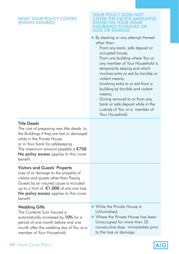| <b>WHAT YOUR POLICY COVERS</b><br>(EVENTS INSURED):                                                                                                                                                                                                                                 | YOUR POLICY DOES NOT<br>COVER THE EXCESS AMOUNT(S)<br><b>TATED ON YOUR HOME</b><br><b>INSURANCE SCHEDULE OR</b><br><b>LOSS OR DAMAGE:</b>                                                                                                                                                                                                                                                                                                                                                           |
|-------------------------------------------------------------------------------------------------------------------------------------------------------------------------------------------------------------------------------------------------------------------------------------|-----------------------------------------------------------------------------------------------------------------------------------------------------------------------------------------------------------------------------------------------------------------------------------------------------------------------------------------------------------------------------------------------------------------------------------------------------------------------------------------------------|
|                                                                                                                                                                                                                                                                                     | <b>By stealing or any attempt thereat</b><br>other than:<br>o From any bank, safe deposit or<br>occupied house;<br>o From any building where You or<br>any member of Your Household is<br>temporarily staying and which<br>involves entry or exit by forcible or<br>violent means;<br>o Involving entry to or exit from a<br>building by forcible and violent<br>means;<br>O During removal to or from any<br>bank or safe deposit while in the<br>custody of You or a member of<br>Your Household. |
| Ti <del>l</del> le Deeds<br>The cost of preparing new title deeds to<br>the Buildings if they are lost or damaged<br>while in the Private House<br>or in Your bank for safekeeping.<br>The maximum amount payable is $E$ 750.<br>No policy excess applies to this cover<br>benefit. |                                                                                                                                                                                                                                                                                                                                                                                                                                                                                                     |
| <b>Visitors and Guests' Property</b><br>Loss of or damage to the property of<br>visitors and guests other than Paying<br>Guests by an insured cause is included<br>up to a limit of €1,000 of any one loss.<br>No policy excess applies to this cover<br>benefit.                   |                                                                                                                                                                                                                                                                                                                                                                                                                                                                                                     |
| <b>Wedding Gifts</b><br>The Contents Sum Insured is<br>automatically increased by 10% for a<br>period of one month before and one<br>month after the wedding day of You or a<br>member of Your Household.                                                                           | ■ While the Private House is<br>Unfurnished;<br>Where the Private House has been<br>Unoccupied for more than 35<br>consecutive days immediately prior<br>to the loss or damage.                                                                                                                                                                                                                                                                                                                     |

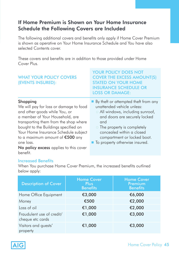# **If Home Premium is Shown on Your Home Insurance Schedule the Following Covers are Included**

The following additional covers and benefits only apply if Home Cover Premium is shown as operative on Your Home Insurance Schedule and You have also selected Contents cover.

These covers and benefits are in addition to those provided under Home Cover Plus.

| <b>WHAT YOUR POLICY COVERS</b><br>(EVENTS INSURED):                                                                                                                                                                                                                                                                                                   | <b>YOUR POLICY DOES NOT</b><br><b>COVER THE EXCESS AMOUNT(S)</b><br><b>STATED ON YOUR HOME</b><br><b>INSURANCE SCHEDULE OR</b><br><b>LOSS OR DAMAGE:</b>                                                                                                                      |
|-------------------------------------------------------------------------------------------------------------------------------------------------------------------------------------------------------------------------------------------------------------------------------------------------------------------------------------------------------|-------------------------------------------------------------------------------------------------------------------------------------------------------------------------------------------------------------------------------------------------------------------------------|
| Shopping<br>We will pay for loss or damage to food<br>and other goods while You, or<br>a member of Your Household, are<br>transporting them from the shop where<br>bought to the Buildings specified on<br>Your Home Insurance Schedule subject<br>to a maximum amount of €500 any<br>one loss.<br>No policy excess applies to this cover<br>benefit. | By theft or attempted theft from any<br>unattended vehicle unless:<br>o All windows, including sunroof,<br>and doors are securely locked<br>and<br>• The property is completely<br>concealed within a closed<br>compartment or locked boot.<br>To property otherwise insured. |

#### Increased Benefits

When You purchase Home Cover Premium, the increased benefits outlined below apply:

| <b>Description of Cover</b>                   | <b>Home Cover</b><br><b>Plus</b><br><b>Benefits</b> | <b>Home Cover</b><br>Premium<br><b>Benefits</b> |
|-----------------------------------------------|-----------------------------------------------------|-------------------------------------------------|
| Home Office Equipment                         | €3,000                                              | €6,000                                          |
| Money                                         | €500                                                | €2,000                                          |
| Loss of oil                                   | €1,000                                              | €2,000                                          |
| Fraudulent use of credit/<br>cheque etc cards | €1,000                                              | €3,000                                          |
| Visitors and quests'<br>property              | €1,000                                              | €3,000                                          |

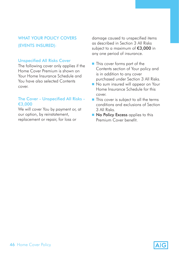# WHAT YOUR POLICY COVERS (EVENTS INSURED):

#### Unspecified All Risks Cover

The following cover only applies if the Home Cover Premium is shown on Your Home Insurance Schedule and You have also selected Contents cover.

#### The Cover - Unspecified All Risks - €3,000

We will cover You by payment or, at our option, by reinstatement, replacement or repair, for loss or

damage caused to unspecified items as described in Section 3 All Risks subject to a maximum of €3,000 in any one period of insurance.

- This cover forms part of the Contents section of Your policy and is in addition to any cover purchased under Section 3 All Risks.
- No sum insured will appear on Your Home Insurance Schedule for this cover.
- $\blacksquare$  This cover is subject to all the terms conditions and exclusions of Section 3 All Risks.
- No Policy Excess applies to this Premium Cover benefit.

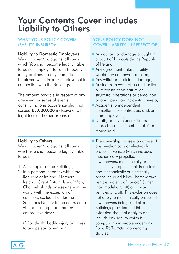# **Your Contents Cover includes Liability to Others**

## WHAT YOUR POLICY COVERS (EVENTS INSURED):

## Liability to Domestic Employees

We will cover You against all sums which You shall become legally liable to pay as employer for death, bodily injury or illness to any Domestic Employee while in Your employment in connection with the Buildings.

The amount payable in respect of any one event or series of events constituting one occurrence shall not exceed €3,000,000 inclusive of all legal fees and other expenses.

## YOUR POLICY DOES NOT COVER LIABILITY IN RESPECT OF:

- **n** Any action for damage brought in a court of law outside the Republic of Ireland;
- Any agreement unless liability would have otherwise applied;
- Any wilful or malicious damage:
- $\blacksquare$  Arising from work of a construction or reconstruction nature or structural alterations or demolition or any operation incidental thereto;
- Accidents to independent consultants or contractors and/or their employees;
- Death, bodily injury or illness caused to other members of Your Household.

## Liability to Others:

We will cover You against all sums which You shall become legally liable to pay:

- 1. As occupier of the Buildings;
- 2. In a personal capacity within the Republic of Ireland, Northern Ireland, Great Britain, Isle of Man, Channel Islands or elsewhere in the world (with the exception of countries excluded under the Sanctions Notice) in the course of a visit not lasting more than 60 consecutive days;

(i) For death, bodily injury or illness to any person other than:

■ The ownership, possession or use of any mechanically or electrically propelled vehicle (which includes mechanically propelled lawnmowers, mechanically or electrically propelled children's toys and mechanically or electrically propelled quad bikes), horse-drawn vehicle, water craft, aircraft (other than model aircraft) or similar vehicles or craft. This exclusion does not apply to mechanically propelled lawnmowers being used at Your Buildings provided that this extension shall not apply to or include any liability which is compulsorily insurable under any Road Traffic Acts or amending statutes;

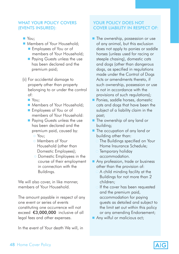#### WHAT YOUR POLICY COVERS (EVENTS INSURED):

- <sup>n</sup> You;
- Members of Your Household:
	- **Employees of You or of** members of Your Household;
	- **n** Pavina Guests unless the use has been declared and the premium paid;
- (ii) For accidental damage to property other than property belonging to or under the control  $\circ$ f $\cdot$ 
	- <sup>n</sup> You;
	- **n** Members of Your Household;
	- **Employees of You or of** members of Your Household:
	- **n** Paving Guests unless the use has been declared and the premium paid, caused by: o You:
		- o Members of Your Household (other than Domestic Employees);
		- **O** Domestic Employees in the course of their employment in connection with the Buildings.

We will also cover, in like manner, members of Your Household.

The amount payable in respect of any one event or series of events constituting one occurrence will not exceed €3,000,000 inclusive of all legal fees and other expenses.

In the event of Your death We will, in

## YOUR POLICY DOES NOT COVER LIABILITY IN RESPECT OF:

- $\blacksquare$  The ownership, possession or use of any animal, but this exclusion does not apply to ponies or saddle horses (unless used for racing or steeple chasing), domestic cats and dogs (other than dangerous dogs, as specified in regulations made under the Control of Dogs Acts or amendments thereto, if such ownership, possession or use is not in accordance with the provisions of such regulations);
- **n** Ponies, saddle horses, domestic cats and dogs that have been the subject of a liability claim in the past;
- The ownership of any land or building;
- The occupation of any land or building other than:
	- o The Buildings specified on Your Home Insurance Schedule;
	- o Temporary holiday accommodation.
- Any profession, trade or business other than the provision of:
	- $\circ$  A child minding facility at the Buildings for not more than 2 children;
	- $\circ$  If the cover has been requested and the premium paid, accommodation for paying guests as detailed and subject to the limit set out within this policy or any amending Endorsement;
- Any wilful or malicious act;

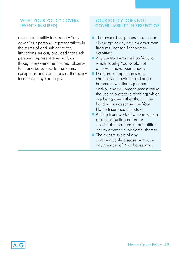### WHAT YOUR POLICY COVERS (EVENTS INSURED):

respect of liability incurred by You, cover Your personal representatives in the terms of and subject to the limitations set out, provided that such personal representatives will, as though they were the Insured, observe, fulfil and be subject to the terms, exceptions and conditions of the policy insofar as they can apply.

## YOUR POLICY DOES NOT COVER LIABILITY IN RESPECT OF:

- $\blacksquare$  The ownership, possession, use or discharge of any firearm other than firearms licensed for sporting activities;
- Any contract imposed on You, for which liability You would not otherwise have been under;
- Dangerous implements (e.g. chainsaws, blowtorches, kango hammers, welding equipment and/or any equipment necessitating the use of protective clothing) which are being used other than at the buildings as described on Your Home Insurance Schedule;
- Arising from work of a construction or reconstruction nature or structural alterations or demolition or any operation incidental thereto;
- $\blacksquare$  The transmission of any communicable disease by You or any member of Your household.

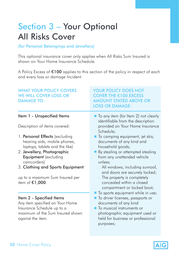# Section 3 – Your Optional All Risks Cover

### (for Personal Belongings and Jewellery)

This optional insurance cover only applies when All Risks Sum Insured is shown on Your Home Insurance Schedule.

A Policy Excess of €100 applies to this section of the policy in respect of each and every loss or damage Incident.

| <b>WHAT YOUR POLICY COVERS</b><br><b>WE WILL COVER LOSS OR</b><br><b>DAMAGE TO:</b>                                                                                                                                                                                                                                            | <b>YOUR POLICY DOES NOT</b><br>COVER THE €100 EXCESS<br><b>AMOUNT STATED ABOVE OR</b><br><b>LOSS OR DAMAGE:</b>                                                                                                                                                                                                                                                                                                                                                     |
|--------------------------------------------------------------------------------------------------------------------------------------------------------------------------------------------------------------------------------------------------------------------------------------------------------------------------------|---------------------------------------------------------------------------------------------------------------------------------------------------------------------------------------------------------------------------------------------------------------------------------------------------------------------------------------------------------------------------------------------------------------------------------------------------------------------|
| Item 1 - Unspecified Items<br>Description of items covered:<br>1. Personal Effects (excluding<br>hearing aids, mobile phones,<br>laptops, tablets and the like)<br>2. Jewellery, Photographic<br>Equipment (excluding<br>camcorders)<br>3. Clothing and Sports Equipment<br>up to a maximum Sum Insured per<br>item of €1,000. | ■ To any item (for Item 2) not clearly<br>identifiable from the description<br>provided on Your Home Insurance<br>Schedule;<br>■ To camping equipment, jet skis,<br>documents of any kind and<br>household goods;<br>By stealing or attempted stealing<br>from any unattended vehicle<br>unless:<br>o All windows, including sunroof,<br>and doors are securely locked;<br>o The property is completely<br>concealed within a closed<br>compartment or locked boot; |
| Item 2 - Specified Items<br>Any item specified on Your Home<br>Insurance Schedule up to a<br>maximum of the Sum Insured shown<br>against the item.                                                                                                                                                                             | To sports equipment while in use;<br>To driver licenses, passports or<br>documents of any kind<br>To musical instruments or<br>photographic equipment used or<br>held for business or professional<br>purposes;                                                                                                                                                                                                                                                     |

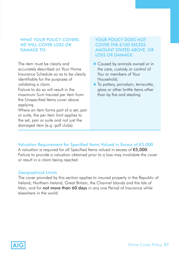### WHAT YOUR POLICY COVERS: WE WILL COVER LOSS OR DAMAGE TO:

The item must be clearly and accurately described on Your Home Insurance Schedule so as to be clearly identifiable for the purposes of validating a claim.

Failure to do so will result in the maximum Sum Insured per item from the Unspecified Items cover above applying.

Where an item forms part of a set, pair or suite, the per item limit applies to the set, pair or suite and not just the damaged item (e.g. golf clubs).

### YOUR POLICY DOES NOT COVER THE €100 EXCESS AMOUNT STATED ABOVE, OR LOSS OR DAMAGE:

- Caused by animals owned or in the care, custody or control of You or members of Your Household;
- To pottery, porcelain, terracotta, glass or other brittle items other than by fire and stealing.

#### Valuation Requirement for Specified Items Valued in Excess of €5,000

A valuation is required for all Specified Items valued in excess of €5,000. Failure to provide a valuation obtained prior to a loss may invalidate the cover or result in a claim being rejected.

#### Geographical Limits

The cover provided by this section applies to insured property in the Republic of Ireland, Northern Ireland, Great Britain, the Channel Islands and the Isle of Man, and for **not more than 60 days** in any one Period of Insurance while elsewhere in the world.

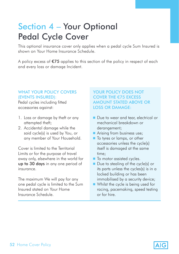# Section 4 – Your Optional Pedal Cycle Cover

This optional insurance cover only applies when a pedal cycle Sum Insured is shown on Your Home Insurance Schedule.

A policy excess of €75 applies to this section of the policy in respect of each and every loss or damage Incident.

## WHAT YOUR POLICY COVERS (EVENTS INSURED):

Pedal cycles including fitted accessories against:

- 1. Loss or damage by theft or any attempted theft;
- 2. Accidental damage while the said cycle(s) is used by You, or any member of Your Household.

Cover is limited to the Territorial Limits or for the purpose of travel away only, elsewhere in the world for up to 30 days in any one period of insurance.

The maximum We will pay for any one pedal cycle is limited to the Sum Insured stated on Your Home Insurance Schedule.

## YOUR POLICY DOES NOT COVER THE €75 EXCESS AMOUNT STATED ABOVE OR LOSS OR DAMAGE:

- Due to wear and tear, electrical or mechanical breakdown or derangement;
- Arising from business use:
- To tyres or lamps, or other accessories unless the cycle(s) itself is damaged at the same time;
- n To motor assisted cycles.
- Due to stealing of the cycle(s) or its parts unless the cycles(s) is in a locked building or has been immobilised by a security device;
- $\blacksquare$  Whilst the cycle is being used for racing, pacemaking, speed testing or for hire.

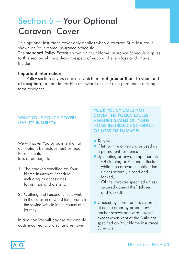# Section 5 – Your Optional Caravan Cover

This optional insurance cover only applies when a caravan Sum Insured is shown on Your Home Insurance Schedule.

The **standard Policy Excess** shown on Your Home Insurance Schedule applies to this section of the policy in respect of each and every loss or damage Incident.

#### Important Information

This Policy section covers caravans which are not greater than 15 years old at inception, are not let for hire or reward or used as a permanent or longterm residence.

| <b>WHAT YOUR POLICY COVERS</b><br>(EVENTS INSURED):                                                                                     | <b>YOUR POLICY DOES NOT</b><br><b>COVER THE POLICY EXCESS</b><br><b>AMOUNT STATED ON YOUR</b><br><b>HOME INSURANCE SCHEDULE</b><br><b>OR LOSS OR DAMAGE:</b>                |
|-----------------------------------------------------------------------------------------------------------------------------------------|-----------------------------------------------------------------------------------------------------------------------------------------------------------------------------|
| We will cover You by payment or, at<br>our option, by replacement or repair<br>for accidental<br>loss or damage to;                     | $\blacksquare$ To tyres;<br><b>If let for hire or reward or used as</b><br>a permanent residence;<br>By stealing or any attempt thereat:<br>Of clothing or Personal Effects |
| 1. The caravan specified on Your<br>Home Insurance Schedule,<br>including its accessories,<br>furnishings and utensils;                 | while the caravan is unattended<br>unless securely closed and<br>locked,<br>Of the caravan specified unless<br>secured against theft (closed                                |
| 2. Clothing and Personal Effects whilst<br>in the caravan or whilst temporarily in<br>the towing vehicle in the course of a<br>journey. | and locked);<br>■ Caused by storm, unless secured<br>at each corner by proprietary<br>anchor screws and wire hawsers                                                        |
| In addition We will pay the reasonable<br>costs incurred to protect and remove                                                          | except when kept at the Buildings<br>specified on Your Home Insurance<br>Schedule;                                                                                          |

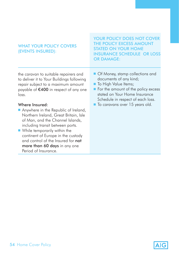### WHAT YOUR POLICY COVERS (EVENTS INSURED):

YOUR POLICY DOES NOT COVER THE POLICY EXCESS AMOUNT STATED ON YOUR HOME INSURANCE SCHEDULE OR LOSS OR DAMAGE:

the caravan to suitable repairers and to deliver it to Your Buildings following repair subject to a maximum amount payable of €400 in respect of any one loss.

#### Where Insured:

- Anywhere in the Republic of Ireland, Northern Ireland, Great Britain, Isle of Man, and the Channel Islands, including transit between ports.
- $\blacksquare$  While temporarily within the continent of Europe in the custody and control of the Insured for not more than 60 days in any one Period of Insurance.
- **n** Of Money, stamp collections and documents of any kind;
- To High Value Items;
- $\blacksquare$  For the amount of the policy excess stated on Your Home Insurance Schedule in respect of each loss.
- To caravans over 15 years old.

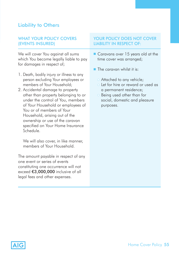# Liability to Others

#### WHAT YOUR POLICY COVERS (EVENTS INSURED)

We will cover You against all sums which You become legally liable to pay for damages in respect of;

- 1. Death, bodily injury or illness to any person excluding Your employees or members of Your Household;
- 2. Accidental damage to property other than property belonging to or under the control of You, members of Your Household or employees of You or of members of Your Household, arising out of the ownership or use of the caravan specified on Your Home Insurance Schedule.

We will also cover, in like manner, members of Your Household.

The amount payable in respect of any one event or series of events constituting one occurrence will not exceed €3,000,000 inclusive of all legal fees and other expenses.

#### YOUR POLICY DOES NOT COVER LIABILITY IN RESPECT OF:

- Caravans over 15 years old at the time cover was arranged;
- $\blacksquare$  The caravan whilst it is:
	- o Attached to any vehicle;
	- o Let for hire or reward or used as a permanent residence;
	- $\circ$  Being used other than for social, domestic and pleasure purposes.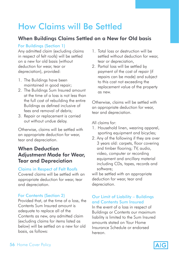# How Claims will Be Settled

# **When Buildings Claims Settled on a New for Old basis**

## For Buildings (Section 1)

Any admitted claim (excluding claims in respect of felt roofs) will be settled on a new for old basis (without deduction for wear, tear or depreciation), provided:

- 1. The Buildings have been maintained in good repair;
- 2. The Buildings Sum Insured amount at the time of a loss is not less than the full cost of rebuilding the entire Buildings as defined inclusive of fees and removal of debris;
- 3. Repair or replacement is carried out without undue delay.

Otherwise, claims will be settled with an appropriate deduction for wear, tear and depreciation.

# **When Deduction Adjustment Made for Wear, Tear and Depreciation**

#### Claims in Respect of Felt Roofs

Covered claims will be settled with an appropriate deduction for wear, tear and depreciation.

#### For Contents (Section 2)

Provided that, at the time of a loss, the Contents Sum Insured amount is adequate to replace all of the Contents as new, any admitted claim (excluding claims for items listed as below) will be settled on a new for old basis, as follows:

- 1. Total loss or destruction will be settled without deduction for wear, tear or depreciation,
- 2. Partial loss will be settled by payment of the cost of repair (if repairs can be made) and subject to this cost not exceeding the replacement value of the property as new.

Otherwise, claims will be settled with an appropriate deduction for wear, tear and depreciation.

All claims for:

- 1. Household linen, wearing apparel, sporting equipment and bicycles;
- 2. Any of the following if they are over 3 years old: carpets, floor covering and timber flooring; TV, audio, video, computer or recording equipment and ancillary material including CDs, tapes, records and software;

will be settled with an appropriate deduction for wear, tear and depreciation.

#### Our Limit of Liability – Buildings and Contents Sum Insured

In the event of a loss in respect of Buildings or Contents our maximum liability is limited to the Sum Insured amounts stated on Your Home Insurance Schedule or endorsed hereon.

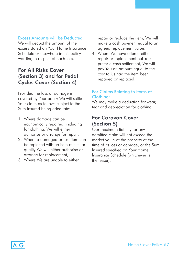#### Excess Amounts will be Deducted

We will deduct the amount of the excess stated on Your Home Insurance Schedule or elsewhere in this policy wording in respect of each loss.

# **For All Risks Cover (Section 3) and for Pedal Cycles Cover (Section 4)**

Provided the loss or damage is covered by Your policy We will settle Your claim as follows subject to the Sum Insured being adequate:

- 1. Where damage can be economically repaired, including for clothing, We will either authorise or arrange for repair;
- 2. Where a damaged or lost item can be replaced with an item of similar quality We will either authorise or arrange for replacement;
- 3. Where We are unable to either

repair or replace the item, We will make a cash payment equal to an agreed replacement value;

4. Where We have offered either repair or replacement but You prefer a cash settlement, We will pay You an amount equal to the cost to Us had the item been repaired or replaced.

#### For Claims Relating to Items of Clothing:

We may make a deduction for wear, tear and depreciation for clothing.

# **For Caravan Cover (Section 5)**

Our maximum liability for any admitted claim will not exceed the market value of the property at the time of its loss or damage, or the Sum Insured specified on Your Home Insurance Schedule (whichever is the lesser).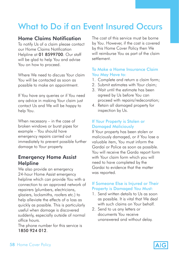# What to Do if an Event Insured Occurs

## **Home Claims Notification**

To notify Us of a claim please contact our Home Claims Notification Helpline at 01 8599700. Our staff will be glad to help You and advise You on how to proceed.

Where We need to discuss Your claim You will be contacted as soon as possible to make an appointment.

If You have any queries or if You need any advice in making Your claim just contact Us and We will be happy to help You.

When necessary – in the case of broken windows or burst pipes for example – You should have emergency repairs carried out immediately to prevent possible further damage to Your property.

## **Emergency Home Assist Helpline**

We also provide an emergency 24-hour Home Assist emergency helpline which can provide You with a connection to an approved network of repairers (plumbers, electricians, glaziers, locksmiths, roofers etc.) to help alleviate the effects of a loss as quickly as possible. This is particularly useful when damage is discovered suddenly, especially outside of normal office hours.

The phone number for this service is 1850 924 012.

The cost of this service must be borne by You. However, if the cost is covered by this Home Cover Policy then We will reimburse You as part of the claim settlement.

#### To Make a Home Insurance Claim You May Have to:

- 1. Complete and return a claim form;
- 2. Submit estimates with Your claim;
- 3. Wait until the estimate has been agreed by Us before You can proceed with repairs/redecoration;
- 4. Retain all damaged property for inspection by Us.

#### If Your Property is Stolen or Damaged Maliciously

If Your property has been stolen or maliciously damaged, or if You lose a valuable item, You must inform the Gardaí or Police as soon as possible. You will receive the Garda report form with Your claim form which you will need to have completed by the Gardai to evidence that the matter was reported.

#### If Someone Else is Injured or Their Property is Damaged You Must:

- 1. Send written details to Us as soon as possible. It is vital that We deal with such claims on Your behalf.
- 2. Send to us any letters or documents You receive unanswered and without delay.

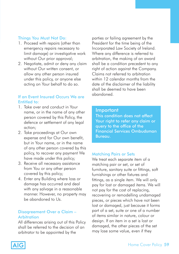#### Things You Must Not Do:

- 1. Proceed with repairs (other than emergency repairs necessary to limit damage) or investigative work without Our prior approval;
- 2. Negotiate, admit or deny any claim without Our written consent, or allow any other person insured under this policy, or anyone else acting on Your behalf to do so.

### If an Event Insured Occurs We are Entitled to:

- 1. Take over and conduct in Your name, or in the name of any other person covered by this Policy, the defence or settlement of any legal action;
- 2. Take proceedings at Our own expense and for Our own benefit, but in Your name, or in the name of any other person covered by this policy, to recover any payment We have made under this policy;
- 3. Receive all necessary assistance from You or any other person covered by this policy;
- 4. Enter any Building where loss or damage has occurred and deal with any salvage in a reasonable manner. However, no property may be abandoned to Us.

#### Disagreement Over a Claim – Arbitration

All differences arising out of this Policy shall be referred to the decision of an arbitrator to be appointed by the

parties or failing agreement by the President for the time being of the Incorporated Law Society of Ireland. Where any difference is referred to arbitration, the making of an award shall be a condition precedent to any right of action against the Company. Claims not referred to arbitration within 12 calendar months from the date of the disclaimer of the liability shall be deemed to have been abandoned.

#### Important

This condition does not affect Your right to refer any claim or query to the office of the Financial Services Ombudsman Bureau.

#### Matching Pairs or Sets

We treat each separate item of a matching pair or set, or set of furniture, sanitary suite or fittings, soft furnishings or other fixtures and fittings, as a single item. We will only pay for lost or damaged items. We will not pay for the cost of replacing, recovering or remodelling undamaged pieces, or pieces which have not been lost or damaged, just because it forms part of a set, suite or one of a number of items similar in nature, colour or design. If an item in a set is lost or damaged, the other pieces of the set may lose some value, even if they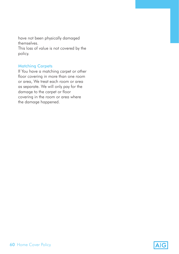have not been physically damaged themselves.

This loss of value is not covered by the policy.

### Matching Carpets

If You have a matching carpet or other floor covering in more than one room or area, We treat each room or area as separate. We will only pay for the damage to the carpet or floor covering in the room or area where the damage happened.

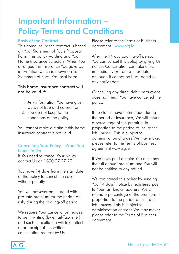# Important Information – Policy Terms and Conditions

#### Basis of the Contract

This home insurance contract is based on Your Statement of Facts Proposal Form, this policy wording and Your Home Insurance Schedule. When You arranged this insurance You gave Us information which is shown on Your Statement of Facts Proposal Form.

#### This home insurance contract will not be valid if:

- 1. Any information You have given Us is not true and correct; or
- 2. You do not keep to the conditions of the policy.

You cannot make a claim if this home insurance contract is not valid.

#### Cancelling Your Policy – What You Need To Do

If You need to cancel Your policy contact Us on 1890 27 27 27.

You have 14 days from the start date of the policy to cancel the cover without penalty.

You will however be charged with a pro rata premium for the period on risk, during the cooling-off period.

We require Your cancellation request to be in writing (by email/fax/letter) and such cancellation will take effect upon receipt of the written cancellation request by Us.

Please refer to the Terms of Business agreement. www.aig.ie

After the 14 day cooling-off period You can cancel this policy by giving Us notice. Cancellation can take effect immediately or from a later date, although it cannot be back dated to any earlier date.

Cancelling any direct debit instructions does not mean You have cancelled the policy.

If no claims have been made during the period of insurance, We will refund a percentage of the premium in proportion to the period of insurance left unused. This is subject to administration charges We may make, please refer to the Terms of Business agreement www.aig.ie.

If We have paid a claim You must pay the full annual premium and You will not be entitled to any refund.

We can cancel this policy by sending You 14 days' notice by registered post to Your last known address. We will refund a percentage of the premium in proportion to the period of insurance left unused. This is subject to administration charges We may make; please refer to the Terms of Business agreement.

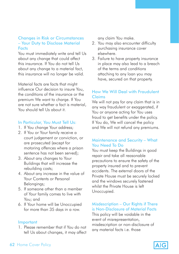#### Changes in Risk or Circumstances – Your Duty to Disclose Material **Facts**

You must immediately write and tell Us about any change that could affect this insurance. If You do not tell Us about any change to a material fact, this insurance will no longer be valid.

Material facts are facts that might influence Our decision to insure You, the conditions of the insurance or the premium We want to charge. If You are not sure whether a fact is material, You should tell Us about it.

#### In Particular, You Must Tell Us:

- 1. If You change Your address;
- 2. If You or Your family receive a court judgement or conviction, or are prosecuted (except for motoring offences where a prison sentence has not been served);
- 3. About any changes to Your Buildings that will increase the rebuilding costs;
- 4. About any increase in the value of Your Contents or Personal Belongings;
- 5. If someone other than a member of Your family comes to live with You; and
- 6. If Your home will be Unoccupied for more than 35 days in a row.

#### Important

1. Please remember that if You do not tell Us about changes, it may affect any claim You make.

- 2. You may also encounter difficulty purchasing insurance cover elsewhere.
- 3. Failure to have property insurance in place may also lead to a breach of the terms and conditions attaching to any loan you may have, secured on that property.

## How We Will Deal with Fraudulent Claims

We will not pay for any claim that is in any way fraudulent or exaggerated, if You or anyone acting for You uses fraud to get benefits under the policy. If You do, We will cancel the policy and We will not refund any premiums.

#### Maintenance and Security – What You Need To Do

You must keep the Buildings in good repair and take all reasonable precautions to ensure the safety of the property insured and to prevent accidents. The external doors of the Private House must be securely locked and the windows securely fastened whilst the Private House is left Unoccupied.

## Misdescription – Our Rights if There is Non-Disclosure of Material Facts

This policy will be voidable in the event of misrepresentation, misdescription or non-disclosure of any material facts i.e. those

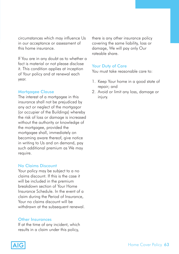circumstances which may influence Us in our acceptance or assessment of this home insurance.

If You are in any doubt as to whether a fact is material or not please disclose it. This condition applies at inception of Your policy and at renewal each year.

#### Mortgagee Clause

The interest of a mortgagee in this insurance shall not be prejudiced by any act or neglect of the mortgagor (or occupier of the Buildings) whereby the risk of loss or damage is increased without the authority or knowledge of the mortgagee, provided the mortgagee shall, immediately on becoming aware thereof, give notice in writing to Us and on demand, pay such additional premium as We may require.

#### No Claims Discount

Your policy may be subject to a no claims discount. If this is the case it will be included in the premium breakdown section of Your Home Insurance Schedule. In the event of a claim during the Period of Insurance, Your no claims discount will be withdrawn at the subsequent renewal.

#### Other Insurances

If at the time of any incident, which results in a claim under this policy,

there is any other insurance policy covering the same liability, loss or damage, We will pay only Our rateable share.

## Your Duty of Care

You must take reasonable care to:

- 1. Keep Your home in a good state of repair; and
- 2. Avoid or limit any loss, damage or injury.

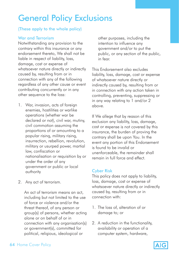# General Policy Exclusions

## (These apply to the whole policy)

#### War and Terrorism

Notwithstanding any provision to the contrary within this insurance or any endorsement thereto, We shall not be liable in respect of liability, loss, damage, cost or expense of whatsoever nature directly or indirectly caused by, resulting from or in connection with any of the following regardless of any other cause or event contributing concurrently or in any other sequence to the loss:

- 1. War, invasion, acts of foreign enemies, hostilities or warlike operations (whether war be declared or not), civil war, mutiny, civil commotion assuming the proportions of or amounting to a popular rising, military rising, insurrection, rebellion, revolution, military or usurped power, martial law, confiscation or nationalisation or requisition by or under the order of any government or public or local authority
- 2. Any act of terrorism.

An act of terrorism means an act, including but not limited to the use of force or violence and/or the threat thereof, of any person or group(s) of persons, whether acting alone or on behalf of or in connection with any organisation(s) or government(s), committed for political, religious, ideological or

other purposes, including the intention to influence any government and/or to put the public, or any section of the public, in fear.

This Endorsement also excludes liability, loss, damage, cost or expense of whatsoever nature directly or indirectly caused by, resulting from or in connection with any action taken in controlling, preventing, suppressing or in any way relating to 1 and/or 2 above.

If We allege that by reason of this exclusion any liability, loss, damage, cost or expense is not covered by this insurance, the burden of proving the contrary shall be upon You. In the event any portion of this Endorsement is found to be invalid or unenforceable, the remainder shall remain in full force and effect.

#### Cyber Risk

This policy does not apply to liability, loss, damage, cost or expense of whatsoever nature directly or indirectly caused by, resulting from or in connection with:

- 1. The loss of, alteration of or damage to; or
- 2. A reduction in the functionality, availability or operation of a computer system, hardware,

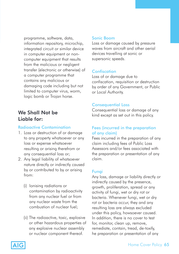programme, software, data, information repository, microchip, integrated circuit or similar device in computer equipment or noncomputer equipment that results from the malicious or negligent transfer (electronic or otherwise) of a computer programme that contains any malicious or damaging code including but not limited to computer virus, worm, logic bomb or Trojan horse.

# **We Shall Not be Liable for:**

#### Radioactive Contamination

- 1. Loss or destruction of or damage to any property whatsoever or any loss or expense whatsoever resulting or arising therefrom or any consequential loss or;
- 2. Any legal liability of whatsoever nature directly or indirectly caused by or contributed to by or arising from:
	- (i) Ionising radiations or contamination by radioactivity from any nuclear fuel or from any nuclear waste from the combustion of nuclear fuel;
	- (ii) The radioactive, toxic, explosive or other hazardous properties of any explosive nuclear assembly or nuclear component thereof.

#### Sonic Boom

Loss or damage caused by pressure waves from aircraft and other aerial devices travelling at sonic or supersonic speeds.

#### Confiscation

Loss of or damage due to confiscation, requisition or destruction by order of any Government, or Public or Local Authority.

#### Consequential Loss

Consequential loss or damage of any kind except as set out in this policy.

### Fees (incurred in the preparation of any claim)

Fees incurred in the preparation of any claim including fees of Public Loss Assessors and/or fees associated with the preparation or presentation of any claim.

#### **Fungi**

Any loss, damage or liability directly or indirectly caused by the presence, growth, proliferation, spread or any activity of fungi, wet or dry rot or bacteria. Whenever fungi, wet or dry rot or bacteria occur, they and any resulting loss are always excluded under this policy, howsoever caused. In addition, there is no cover to test for, monitor, clean up, remove, remediate, contain, tread, de-toxify, he preparation or presentation of any

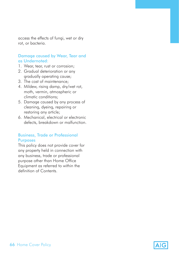access the effects of fungi, wet or dry rot, or bacteria.

#### Damage caused by Wear, Tear and as Undernoted:

- 1. Wear, tear, rust or corrosion;
- 2. Gradual deterioration or any gradually operating cause;
- 3. The cost of maintenance;
- 4. Mildew, rising damp, dry/wet rot, moth, vermin, atmospheric or climatic conditions;
- 5. Damage caused by any process of cleaning, dyeing, repairing or restoring any article;
- 6. Mechanical, electrical or electronic defects, breakdown or malfunction.

#### Business, Trade or Professional **Purposes**

This policy does not provide cover for any property held in connection with any business, trade or professional purpose other than Home Office Equipment as referred to within the definition of Contents.

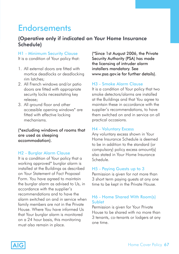# **Endorsements**

# **(Operative only if indicated on Your Home Insurance Schedule)**

#### H1 - Minimum Security Clause

It is a condition of Your policy that:

- 1. All external doors are fitted with mortice deadlocks or deadlocking rim latches;
- 2. All French windows and/or patio doors are fitted with appropriate security locks necessitating key release;
- 3. All ground floor and other accessible opening windows\* are fitted with effective locking mechanisms.

(\*excluding windows of rooms that are used as sleeping accommodation).

#### H2 - Burglar Alarm Clause

It is a condition of Your policy that a working approved\* burglar alarm is installed at the Buildings as described on Your Statement of Fact Proposal Form. You have agreed to maintain the burglar alarm as advised to Us, in accordance with the supplier's recommendations and to have the alarm switched on and in service when family members are not in the Private House. Where You have informed Us that Your burglar alarm is monitored on a 24 hour basis, this monitoring must also remain in place.

(\*Since 1st August 2006, the Private Security Authority (PSA) has made the licensing of intruder alarm installers mandatory. See www.psa.gov.ie for further details).

#### H3 - Smoke Alarm Clause

It is a condition of Your policy that two smoke detectors/alarms are installed at the Buildings and that You agree to maintain these in accordance with the supplier's recommendations, to have them switched on and in service on all practical occasions.

#### H4 - Voluntary Excess

Any voluntary excess shown in Your Home Insurance Schedule is deemed to be in addition to the standard (or compulsory) policy excess amount(s) also stated in Your Home Insurance Schedule.

## H5 - Paying Guests up to 3

Permission is given for not more than 3 short term paying guests at any one time to be kept in the Private House.

#### H6 - Home Shared With Room(s) Sublet

Permission is given for Your Private House to be shared with no more than 3 tenants, co-tenants or lodgers at any one time.

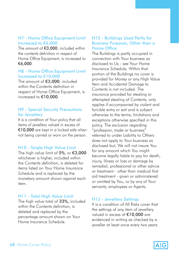### H7 - Home Office Equipment Limit Increased to €6,000

The amount of  $€3,000$ , included within the contents definition in respect of Home Office Equipment, is increased to €6,000.

#### H8 - Home Office Equipment Limit Increased to €10,000

The amount of €3,000, included within the Contents definition in respect of Home Office Equipment, is increased to €10,000.

#### H9 - Special Security Precautions for Jewellery

It is a condition of Your policy that all items of jewellery valued in excess of €10,000 are kept in a locked safe when not being carried or worn on the person.

#### H10 - Single High Value Limit

The high value limit of 5%, or €3,000 whichever is higher, included within the Contents definition, is deleted for items listed on Your Home Insurance Schedule and is replaced by the monetary amount shown against each item.

#### H11 - Total High Value Limit

The high value total of 33%, included within the Contents definition, is deleted and replaced by the percentage amount shown on Your Home Insurance Schedule.

#### H12 - Buildings Used Partly for Business Purposes, Other than a Home Office

The Buildings is partly occupied in connection with Your business as disclosed to Us - see Your Home Insurance Schedule. Within that portion of the Buildings no cover is provided for Money or any High Value Item and Accidental Damage to Contents is not included. The insurance provided for stealing or attempted stealing of Contents, only applies if accompanied by violent and forcible entry or exit and is subject otherwise to the terms, limitations and exceptions otherwise specified in this policy. The exclusion regarding "profession, trade or business" referred to under Liability to Others does not apply to Your business as disclosed but, We will not insure You for any amount which You might become legally liable to pay for death, injury, illness or loss or damage by remedial, professional or other advice or treatment - other than medical first aid treatment - given or administered or omitted by You, or by any of Your servants, employees or Agents.

#### H13 - Jewellery Settings

It is a condition of All Risks cover that the settings of any item of jewellery valued in excess of €10,000 are evidenced in writing as checked by a jeweller at least once every two years.

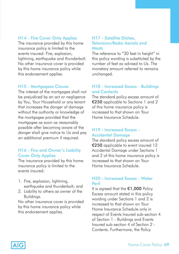#### H14 - Fire Cover Only Applies

The insurance provided by this home insurance policy is limited to the events insured: Fire, explosion, lightning, earthquake and thunderbolt. No other insurance cover is provided by this home insurance policy while this endorsement applies.

#### H15 - Mortgagees Clause

The interest of the mortgagee shall not be prejudiced by an act or negligence by You, Your Household or any tenant that increases the danger of damage without the authority or knowledge of the mortgagee provided that the mortgagee as soon as reasonably possible after becoming aware of the danger shall give notice to Us and pay an additional premium if required.

#### H16 - Fire and Owner's Liability Cover Only Applies

The insurance provided by this home insurance policy is limited to the events insured:

- 1. Fire, explosion, lightning, earthquake and thunderbolt; and
- 2. Liability to others as owner of the Buildings.

No other insurance cover is provided by this home insurance policy while this endorsement applies.

#### H17 - Satellite Dishes, Television/Radio Aerials and **Masts**

The reference to "30 feet in height" in this policy wording is substituted by the number of feet as advised to Us. The monetary amount referred to remains unchanged.

#### H18 - Increased Excess - Buildings and Contents

The standard policy excess amount of €250 applicable to Sections 1 and 2 of this home insurance policy is increased to that shown on Your Home Insurance Schedule.

### H19 - Increased Excess - Accidental Damage

The standard policy excess amount of €250 applicable to event insured 12 Accidental Damage under Sections 1 and 2 of this home insurance policy is increased to that shown on Your Home Insurance Schedule.

#### H20 - Increased Excess - Water Peril

It is agreed that the €1,000 Policy Excess amount stated in this policy wording under Sections 1 and 2 is increased to that shown on Your Home Insurance Schedule only in respect of Events Insured sub-section 4 of Section 1 - Buildings and Events Insured sub-section 4 of Section 2 - Contents. Furthermore, the Policy

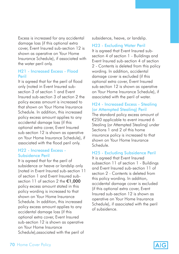Excess is increased for any accidental damage loss (if this optional extra cover, Event Insured sub-section 12 is shown as operative on Your Home Insurance Schedule), if associated with the water peril only.

#### H21 - Increased Excess - Flood Peril

It is agreed that for the peril of flood only (noted in Event Insured subsection 3 of section 1 and Event Insured sub-section 3 of section 2 the policy excess amount is increased to that shown on Your Home Insurance Schedule. In addition, this increased policy excess amount applies to any accidental damage loss (if this optional extra cover, Event Insured sub-section 12 is shown as operative on Your Home Insurance Schedule), if associated with the flood peril only.

#### H22 - Increased Excess - Subsidence Peril

It is agreed that for the peril of subsidence or heave or landslip only (noted in Event Insured sub-section 11 of section 1 and Event Insured subsection 11 of section 2 the €1,000 policy excess amount stated in this policy wording is increased to that shown on Your Home Insurance Schedule. In addition, this increased policy excess amount applies to any accidental damage loss (if this optional extra cover, Event Insured sub-section 12 is shown as operative on Your Home Insurance Schedule),associated with the peril of

subsidence, heave, or landslip.

## H23 - Excluding Water Peril

It is agreed that Event Insured subsection 4 of section 1 - Buildings and Event Insured sub-section 4 of section 2 - Contents is deleted from this policy wording. In addition, accidental damage cover is excluded (if this optional extra cover, Event Insured sub-section 12 is shown as operative on Your Home Insurance Schedule), if associated with the peril of water.

## H24 - Increased Excess - Stealing (or Attempted Stealing) Peril

The standard policy excess amount of €250 applicable to event insured 6 Stealing (or Attempted Stealing) under Sections 1 and 2 of this home insurance policy is increased to that shown on Your Home Insurance Schedule.

## H25 - Excluding Subsidence Peril

It is agreed that Event Insured subsection 11 of section 1 - Buildings and Event Insured sub-section 11 of section 2 - Contents is deleted from this policy wording. In addition, accidental damage cover is excluded (if this optional extra cover, Event Insured sub-section 12 is shown as operative on Your Home Insurance Schedule), if associated with the peril of subsidence.

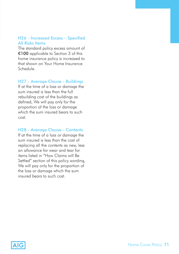## H26 - Increased Excess – Specified All Risks Items

The standard policy excess amount of €100 applicable to Section 3 of this home insurance policy is increased to that shown on Your Home Insurance Schedule.

## H27 - Average Clause - Buildings

If at the time of a loss or damage the sum insured is less than the full rebuilding cost of the buildings as defined, We will pay only for the proportion of the loss or damage which the sum insured bears to such cost.

## H28 - Average Clause - Contents

If at the time of a loss or damage the sum insured is less than the cost of replacing all the contents as new, less an allowance for wear and tear for items listed in "How Claims will Be Settled" section of this policy wording, We will pay only for the proportion of the loss or damage which the sum insured bears to such cost.

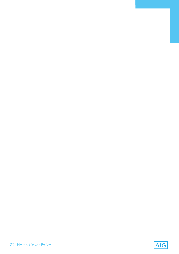## Home Cover Policy